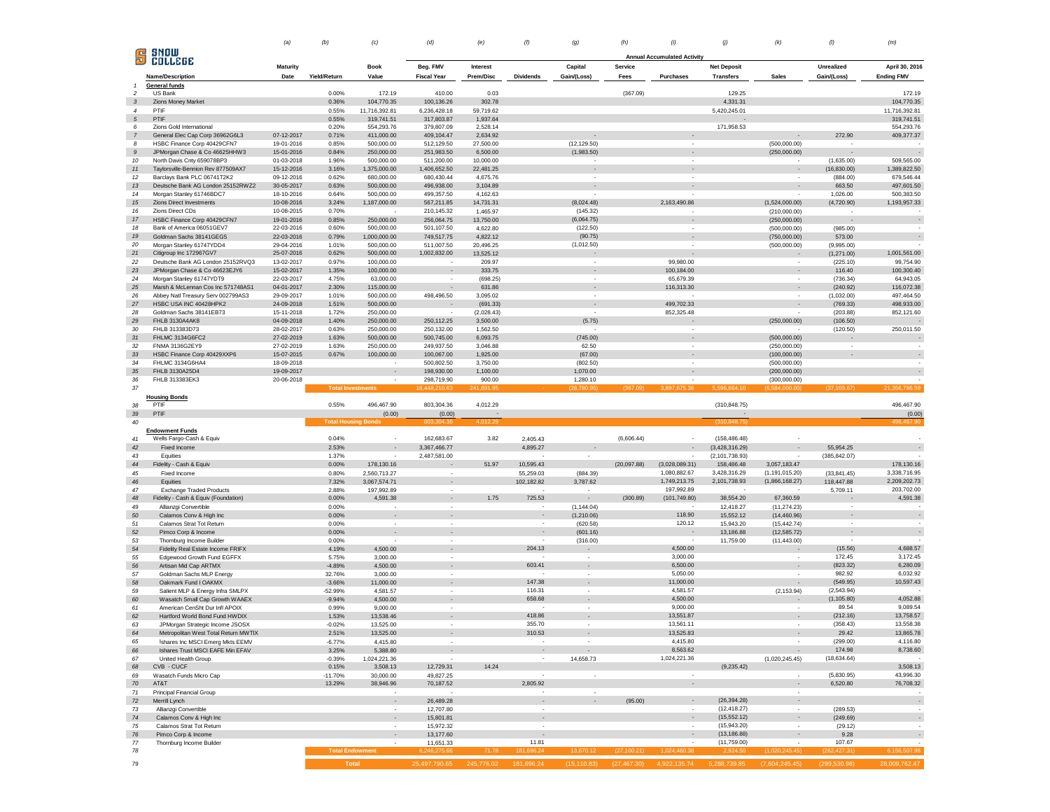|  |  |  |  |  |  |  |  |  |  |  |  | (a) (b) (c) (d) (e) (f) (g) (h) (i) (j) (k) (l) (l) (m) |  |
|--|--|--|--|--|--|--|--|--|--|--|--|---------------------------------------------------------|--|
|--|--|--|--|--|--|--|--|--|--|--|--|---------------------------------------------------------|--|

|                          | SNOW                                             |                          |                   |                            |                                    |                       |                          |                          |                |                                    |                                                                                       |                              |                   |                          |
|--------------------------|--------------------------------------------------|--------------------------|-------------------|----------------------------|------------------------------------|-----------------------|--------------------------|--------------------------|----------------|------------------------------------|---------------------------------------------------------------------------------------|------------------------------|-------------------|--------------------------|
| $\mathbf{F}$             | COLLEGE                                          | Maturity                 |                   | <b>Book</b>                | Beg. FMV                           | Interest              |                          | Capital                  | <b>Service</b> | <b>Annual Accumulated Activity</b> | <b>Net Deposit</b>                                                                    |                              | Unrealized        | April 30, 2016           |
|                          | Name/Description                                 | Date                     | Yield/Return      | Value                      | <b>Fiscal Year</b>                 | Prem/Disc             | <b>Dividends</b>         | Gain/(Loss)              | Fees           | Purchases                          | <b>Transfers</b>                                                                      | <b>Sales</b>                 | Gain/(Loss)       | <b>Ending FMV</b>        |
| $\overline{\phantom{a}}$ | General funds<br>US Bank                         |                          | 0.00%             | 172.19                     | 410.00                             | 0.03                  |                          |                          | (367.09)       |                                    | 129.25                                                                                |                              |                   | 172.19                   |
| $\mathbf{3}$             | Zions Money Market                               |                          | 0.36%             | 104,770.35                 | 100,136.26                         | 302.78                |                          |                          |                |                                    | 4,331.31                                                                              |                              |                   | 104,770.35               |
| $\overline{4}$           | PTIF                                             |                          | 0.55%             | 11,716,392.81              | 6.236.428.18                       | 59,719.62             |                          |                          |                |                                    | 5.420.245.01                                                                          |                              |                   | 11,716,392.81            |
| $5\overline{5}$          | PTIF                                             |                          | 0.55%             | 319,741.51                 | 317,803.87                         | 1,937.64              |                          |                          |                |                                    |                                                                                       |                              |                   | 319,741.51               |
| 6                        | Zions Gold International                         |                          | 0.20%             | 554,293.76                 | 379,807.09                         | 2,528.14              |                          |                          |                |                                    | 171,958.53                                                                            |                              |                   | 554,293.76               |
| $\overline{7}$           | General Elec Cap Corp 36962G6L3                  | 07-12-2017               | 0.71%             | 411,000.00                 | 409,104.47                         | 2,634.92              |                          | $\overline{\phantom{a}}$ |                |                                    |                                                                                       | $\overline{\phantom{a}}$     | 272.90            | 409,377.37               |
| 8                        | HSBC Finance Corp 40429CFN7                      | 19-01-2016               | 0.85%             | 500,000.00                 | 512,129.50                         | 27,500.00             |                          | (12, 129.50)             |                |                                    |                                                                                       | (500,000.00)                 |                   |                          |
| $\boldsymbol{g}$         | JPMorgan Chase & Co 46625HHW3                    | 15-01-2016               | 0.84%             | 250,000.00                 | 251,983.50                         | 6,500.00              |                          | (1,983.50)               |                | $\sim$                             |                                                                                       | (250,000.00)                 |                   |                          |
| 10                       | North Davis Cnty 659078BP3                       | 01-03-2018               | 1.96%             | 500,000.00                 | 511,200.00                         | 10,000.00             |                          |                          |                |                                    |                                                                                       |                              | (1,635.00)        | 509,565.00               |
| 11                       | Taylorsville-Bennion Rev 877509AX7               | 15-12-2016               | 3.16%             | 1,375,000.00               | 1,406,652.50                       | 22,481.25             |                          | $\overline{\phantom{a}}$ |                |                                    |                                                                                       | $\overline{\phantom{a}}$     | (16, 830.00)      | 1,389,822.50             |
| $12\,$                   | Barclays Bank PLC 06741T2K2                      | 09-12-2016               | 0.62%             | 680,000.00                 | 680,430.44                         | 4,675.76              |                          | ٠                        |                |                                    |                                                                                       |                              | (884.00)          | 679,546.44               |
| 13                       | Deutsche Bank AG London 25152RWZ2                | 30-05-2017               | 0.63%             | 500.000.00                 | 496,938.00                         | 3,104.89              |                          |                          |                |                                    |                                                                                       |                              | 663.50            | 497,601.50               |
| 14                       | Morgan Stanley 61746BDC7                         | 18-10-2016               | 0.64%             | 500,000.00                 | 499,357.50                         | 4.162.63              |                          |                          |                |                                    |                                                                                       |                              | 1,026.00          | 500,383.50               |
| 15                       | Zions Direct Investments                         | 10-08-2016               | 3.24%             | 1,187,000.00               | 567,211.85                         | 14,731.31             |                          | (8,024.48)               |                | 2,163,490.86                       |                                                                                       | (1,524,000.00)               | (4,720.90)        | 1,193,957.33             |
| 16<br>17                 | Zions Direct CDs<br>HSBC Finance Corp 40429CFN7  | 10-08-2015<br>19-01-2016 | 0.70%<br>0.85%    | 250,000.00                 | 210,145.32<br>256,064.75           | 1,465.97<br>13,750.00 |                          | (145.32)<br>(6,064.75)   |                |                                    |                                                                                       | (210,000.00)                 |                   |                          |
| 18                       | Bank of America 06051GEV7                        | 22-03-2016               | 0.60%             | 500,000.00                 | 501,107.50                         | 4,622.80              |                          | (122.50)                 |                | $\overline{\phantom{a}}$           |                                                                                       | (250,000.00)<br>(500,000.00) | (985.00)          | $\alpha$                 |
| 19                       | Goldman Sachs 38141GEG5                          | 22-03-2016               | 0.79%             | 1,000,000.00               | 749,517.75                         | 4.822.12              |                          | (90.75)                  |                |                                    |                                                                                       | (750,000.00)                 | 573.00            | $\overline{\phantom{a}}$ |
| 20                       | Morgan Stanley 61747YDD4                         | 29-04-2016               | 1.01%             | 500,000.00                 | 511,007.50                         | 20,496.25             |                          | (1,012.50)               |                |                                    |                                                                                       | (500,000.00)                 | (9,995.00)        |                          |
| 21                       | Citigroup Inc 172967GV7                          | 25-07-2016               | 0.62%             | 500,000.00                 | 1,002,832.00                       | 13,525.12             |                          | $\overline{\phantom{a}}$ |                |                                    |                                                                                       | $\overline{\phantom{a}}$     | (1, 271.00)       | 1,001,561.00             |
| 22                       | Deutsche Bank AG London 25152RVQ3                | 13-02-2017               | 0.97%             | 100,000.00                 | $\sim$                             | 209.97                |                          | $\sim$                   |                | 99,980.00                          |                                                                                       | $\cdot$                      | (225.10)          | 99,754.90                |
| 23                       | JPMorgan Chase & Co 46623EJY6                    | 15-02-2017               | 1.35%             | 100,000.00                 | $\overline{\phantom{a}}$           | 333.75                |                          | $\overline{\phantom{a}}$ |                | 100,184.00                         |                                                                                       | $\overline{\phantom{a}}$     | 116.40            | 100,300.40               |
| 24                       | Morgan Stanley 61747YDT9                         | 22-03-2017               | 4.75%             | 63,000.00                  | $\sim$                             | (698.25)              |                          | $\sim$                   |                | 65,679.39                          |                                                                                       | ٠                            | (736.34)          | 64,943.05                |
| 25                       | Marsh & McLennan Cos Inc 571748AS1               | 04-01-2017               | 2.30%             | 115,000.00                 |                                    | 631.86                |                          | $\blacksquare$           |                | 116,313.30                         |                                                                                       | $\overline{\phantom{a}}$     | (240.92)          | 116,072.38               |
| 26                       | Abbey Natl Treasury Serv 002799AS3               | 29-09-2017               | 1.01%             | 500,000.00                 | 498,496.50                         | 3,095.02              |                          | $\sim$                   |                |                                    |                                                                                       | ٠                            | (1,032.00)        | 497,464.50               |
| 27                       | HSBC USA INC 40428HPK2                           | 24-09-2018               | 1.51%             | 500,000.00                 |                                    | (691.33)              |                          | $\blacksquare$           |                | 499,702.33                         |                                                                                       | $\blacksquare$               | (769.33)          | 498,933.00               |
| 28                       | Goldman Sachs 38141EB73                          | 15-11-2018               | 1.72%             | 250,000.00                 |                                    | (2,028.43)            |                          |                          |                | 852,325.48                         |                                                                                       |                              | (203.88)          | 852,121.60               |
| 29                       | FHLB 3130A4AK8                                   | 04-09-2018               | 1.40%             | 250,000.00                 | 250,112.25                         | 3,500.00              |                          | (5.75)                   |                |                                    |                                                                                       | (250,000.00)                 | (106.50)          |                          |
| 30                       | FHLB 313383D73                                   | 28-02-2017               | 0.63%             | 250,000.00                 | 250,132.00                         | 1,562.50              |                          |                          |                |                                    |                                                                                       |                              | (120.50)          | 250,011.50               |
| 31                       | FHLMC 3134G6FC2                                  | 27-02-2019               | 1.63%             | 500,000.00                 | 500,745.00                         | 6,093.75              |                          | (745.00)                 |                |                                    |                                                                                       | (500,000.00)                 |                   | $\overline{\phantom{a}}$ |
| 32                       | FNMA 3136G2EY9                                   | 27-02-2019               | 1.63%             | 250,000.00                 | 249,937.50                         | 3,046.88              |                          | 62.50                    |                | $\sim$                             |                                                                                       | (250,000.00)                 | ×                 | $\overline{\phantom{a}}$ |
| 33                       | HSBC Finance Corp 40429XXP6                      | 15-07-2015               | 0.67%             | 100,000.00                 | 100,067.00                         | 1,925.00              |                          | (67.00)                  |                |                                    |                                                                                       | (100,000.00)                 |                   | $\overline{\phantom{a}}$ |
| 34                       | FHLMC 3134G6HA4                                  | 18-09-2018               |                   | ٠                          | 500,802.50                         | 3,750.00              |                          | (802.50)                 |                |                                    |                                                                                       | (500,000.00)                 |                   |                          |
| 35                       | FHLB 3130A25D4                                   | 19-09-2017               |                   | $\epsilon$                 | 198,930.00                         | 1,100.00              |                          | 1,070.00                 |                |                                    |                                                                                       | (200,000.00)                 |                   | $\sim$                   |
| 36                       | FHLB 313383EK3                                   | 20-06-2018               |                   | $\sim$                     | 298,719.90                         | 900.00                |                          | 1,280.10                 |                |                                    |                                                                                       | (300,000.00)                 |                   |                          |
| 37                       |                                                  |                          |                   | <b>Total Investments</b>   | 448.210.63                         | 41.69                 |                          |                          |                |                                    |                                                                                       | 6.584.000.00                 | (37, 103.67)      | 21.356.786.59            |
| 38                       | <b>Housing Bonds</b><br>PTIF                     |                          | 0.55%             | 496,467.90                 | 803,304.36                         | 4,012.29              |                          |                          |                |                                    | (310, 848.75)                                                                         |                              |                   | 496,467.90               |
| 39                       | PTIF                                             |                          |                   | (0.00)                     | (0.00)                             |                       |                          |                          |                |                                    |                                                                                       |                              |                   | (0.00)                   |
| 40                       |                                                  |                          |                   | <b>Total Housing Bonds</b> | 803,304.3                          | 4,012.29              |                          |                          |                |                                    | (310, 848.75)                                                                         |                              |                   | 496,467.90               |
|                          | <b>Endowment Funds</b>                           |                          |                   |                            |                                    |                       |                          |                          |                |                                    |                                                                                       |                              |                   |                          |
| 41                       | Wells Fargo-Cash & Equiv                         |                          | 0.04%             |                            | 162,683.67                         | 3.82                  | 2,405.43                 |                          | (6,606.44)     |                                    | (158, 486.48)                                                                         |                              |                   |                          |
| $42\,$                   | Fixed Income                                     |                          | 2.53%             | $\overline{\phantom{a}}$   | 3,367,466.77                       |                       | 4,895.27                 |                          |                |                                    | (3,428,316.29)                                                                        | $\overline{\phantom{a}}$     | 55,954.25         | $\overline{\phantom{a}}$ |
| 43                       | Equities                                         |                          | 1.37%             |                            | 2,487,581.00                       |                       |                          |                          |                |                                    | (2, 101, 738.93)                                                                      |                              | (385, 842.07)     |                          |
| $44\,$                   | Fidelity - Cash & Equiv                          |                          | 0.00%             | 178,130.16                 |                                    | 51.97                 | 10,595.43                |                          | (20,097.88)    | (3,028,089.31)                     | 158,486.48                                                                            | 3,057,183.47                 |                   | 178,130.16               |
| 45                       | Fixed Income                                     |                          | 0.80%             | 2,560,713.27               | $\sim$                             |                       | 55,259.03                | (884.39)                 |                | 1,080,882.67                       | 3,428,316.29                                                                          | (1, 191, 015.20)             | (33,841.45)       | 3,338,716.95             |
| 46                       | Equities                                         |                          | 7.32%             | 3,067,574.71               | $\overline{\phantom{a}}$           |                       | 102,182.82               | 3,787.62                 |                | 1,749,213.75                       | 2,101,738.93                                                                          | (1,866,168.27)               | 118,447.88        | 2,209,202.73             |
| 47                       | <b>Exchange Traded Products</b>                  |                          | 2.88%             | 197,992.89                 | $\sim$                             |                       |                          |                          |                | 197,992.89                         |                                                                                       |                              | 5,709.11          | 203,702.00               |
| 48                       | Fidelity - Cash & Equiv (Foundation)             |                          | 0.00%             | 4,591.38                   | $\sim$                             | 1.75                  | 725.53                   |                          | (300.89)       | (101, 749.80)                      | 38,554.20                                                                             | 67,360.59                    |                   | 4,591.38                 |
| 49                       | Allianzgi Convertible                            |                          | 0.00%             |                            | $\sim$                             |                       |                          | (1, 144.04)              |                |                                    | 12,418.27                                                                             | (11, 274.23)                 | $\sim$            |                          |
| 50                       | Calamos Conv & High Inc                          |                          | 0.00%             |                            |                                    |                       |                          | (1, 210.06)              |                | 118.90                             | 15,552.12                                                                             | (14, 460.96)                 |                   | $\overline{\phantom{a}}$ |
| 51                       | Calamos Strat Tot Return                         |                          | 0.00%             |                            |                                    |                       |                          | (620.58)                 |                | 120.12                             | 15,943.20                                                                             | (15, 442.74)                 | ×                 |                          |
| 52                       | Pimco Corp & Income                              |                          | 0.00%             |                            |                                    |                       |                          | (601.16)                 |                |                                    | 13,186.88                                                                             | (12, 585.72)                 |                   | $\overline{\phantom{a}}$ |
| 53                       | Thornburg Income Builder                         |                          | 0.00%             |                            | $\sim$                             |                       |                          | (316.00)                 |                |                                    | 11,759.00                                                                             | (11,443.00)                  |                   |                          |
| 54                       | Fidelity Real Estate Income FRIFX                |                          | 4.19%             | 4,500.00                   | $\overline{\phantom{a}}$<br>$\sim$ |                       | 204.13<br>$\sim$         | $\cdot$<br>$\sim$        |                | 4,500.00<br>3,000.00               |                                                                                       |                              | (15.56)<br>172.45 | 4,688.57<br>3,172.45     |
| 55<br>56                 | Edgewood Growth Fund EGFFX                       |                          | 5.75%<br>$-4.89%$ | 3,000.00<br>4,500.00       | $\sim$                             |                       | 603.41                   | $\overline{\phantom{a}}$ |                | 6,500.00                           |                                                                                       | $\sim$                       | (823.32)          | 6,280.09                 |
| 57                       | Artisan Mid Cap ARTMX                            |                          | 32.76%            | 3,000.00                   |                                    |                       |                          |                          |                | 5,050.00                           |                                                                                       |                              | 982.92            | 6,032.92                 |
| 58                       | Goldman Sachs MLP Energy<br>Oakmark Fund I OAKMX |                          | $-3.66%$          | 11,000.00                  | $\sim$                             |                       | 147.38                   |                          |                | 11,000.00                          |                                                                                       |                              | (549.95)          | 10,597.43                |
| 59                       | Salient MLP & Energy Infra SMLPX                 |                          | -52.99%           | 4,581.57                   |                                    |                       | 116.31                   |                          |                | 4,581.57                           |                                                                                       | (2, 153.94)                  | (2,543.94)        |                          |
| 60                       | Wasatch Small Cap Growth WAAEX                   |                          | $-9.94%$          | 4,500.00                   |                                    |                       | 658.68                   |                          |                | 4,500.00                           |                                                                                       |                              | (1, 105.80)       | 4,052.88                 |
| 61                       | American CenSht Dur Infl APOIX                   |                          | 0.99%             | 9,000,00                   | $\sim$                             |                       |                          |                          |                | 9,000.00                           |                                                                                       |                              | 89.54             | 9,089.54                 |
| 62                       | Hartford World Bond Fund HWDIX                   |                          | 1.53%             | 13,538.46                  |                                    |                       | 418.86                   |                          |                | 13,551.87                          |                                                                                       |                              | (212.16)          | 13,758.57                |
| 63                       | JPMorgan Strategic Income JSOSX                  |                          | $-0.02%$          | 13,525.00                  | ×                                  |                       | 355.70                   | $\sim$                   |                | 13,561.11                          |                                                                                       | ٠                            | (358.43)          | 13,558.38                |
| 64                       | Metropolitan West Total Return MWTIX             |                          | 2.51%             | 13,525.00                  |                                    |                       | 310.53                   |                          |                | 13,525.83                          |                                                                                       |                              | 29.42             | 13,865.78                |
| 65                       | Ishares Inc MSCI Emerg Mkts EEMV                 |                          | $-6.77%$          | 4,415.80                   | ×,                                 |                       |                          |                          |                | 4,415.80                           |                                                                                       |                              | (299.00)          | 4,116.80                 |
| 66                       | Ishares Trust MSCI EAFE Min EFAV                 |                          | 3.25%             | 5,388.80                   | $\sim$                             |                       | $\overline{\phantom{a}}$ | $\sim$                   |                | 8,563.62                           |                                                                                       | $\overline{\phantom{a}}$     | 174.98            | 8,738.60                 |
| 67                       | United Health Group                              |                          | $-0.39%$          | 1,024,221.36               |                                    |                       | $\sim$                   | 14,658.73                |                | 1,024,221.36                       |                                                                                       | (1,020,245.45)               | (18, 634.64)      |                          |
| 68                       | CVB - CUCF                                       |                          | 0.15%             | 3,508.13                   | 12,729.31                          | 14.24                 |                          |                          |                |                                    | (9, 235.42)                                                                           |                              |                   | 3,508.13                 |
| 69                       | Wasatch Funds Micro Cap                          |                          | $-11.70%$         | 30,000.00                  | 49,827.25                          |                       |                          | $\epsilon$               |                | $\cdot$                            |                                                                                       | ٠                            | (5,830.95)        | 43,996.30                |
| 70                       | AT&T                                             |                          | 13.29%            | 38,946.96                  | 70,187.52                          |                       | 2,805.92                 |                          |                | $\cdot$                            |                                                                                       |                              | 6,520.80          | 76,708.32                |
| 71                       | Principal Financial Group                        |                          |                   | $\sim$                     | - 1                                |                       | $\sim$                   | $\sim$                   |                |                                    |                                                                                       | $\sim$                       |                   |                          |
| 72                       | Merrill Lynch                                    |                          |                   |                            | 26,489.28                          |                       | $\cdot$                  | $\blacksquare$           | (95.00)        |                                    | (26, 394.28)                                                                          | $\overline{\phantom{a}}$     |                   | $\cdot$                  |
| 73                       | Allianzgi Convertible                            |                          |                   |                            | 12,707.80                          |                       |                          |                          |                |                                    | (12, 418.27)                                                                          | $\sim$                       | (289.53)          |                          |
| 74                       | Calamos Conv & High Inc                          |                          |                   | $\epsilon$                 | 15,801.81                          |                       | $\sim$                   |                          |                | $\sim$                             | (15, 552.12)                                                                          | $\blacksquare$               | (249.69)          | $\cdot$                  |
| 75                       | Calamos Strat Tot Return                         |                          |                   |                            | 15,972.32                          |                       |                          |                          |                |                                    | (15,943.20)                                                                           |                              | (29.12)           |                          |
| 76                       | Pimco Corp & Income                              |                          |                   |                            | 13,177.60                          |                       |                          |                          |                |                                    | (13, 186.88)                                                                          |                              | 9.28              | $\cdot$                  |
| 77                       | Thornburg Income Builder                         |                          |                   | <b>Total Endowment</b>     | 11,651.33                          |                       | 11.81                    |                          |                |                                    | (11,759.00)                                                                           |                              | 107.67            |                          |
| 78                       |                                                  |                          |                   |                            | 6,246,275.66                       | 71.78                 | 181.696.24               | 13,670.12                | (27, 100.21)   | 1,024,460.38                       | 2,924.50                                                                              | (1.020.245.45)               | (262, 427.31)     | 6,156,507.98             |
| 79                       |                                                  |                          |                   | Total                      |                                    |                       |                          |                          |                |                                    | 25,497,790.65 245,776.02 181,696.24 (15,110.83) (27,467.30) 4,922,135.74 5,288,739.85 | (7.604.245.45)               | (299, 530.98)     | 28,009,762.47            |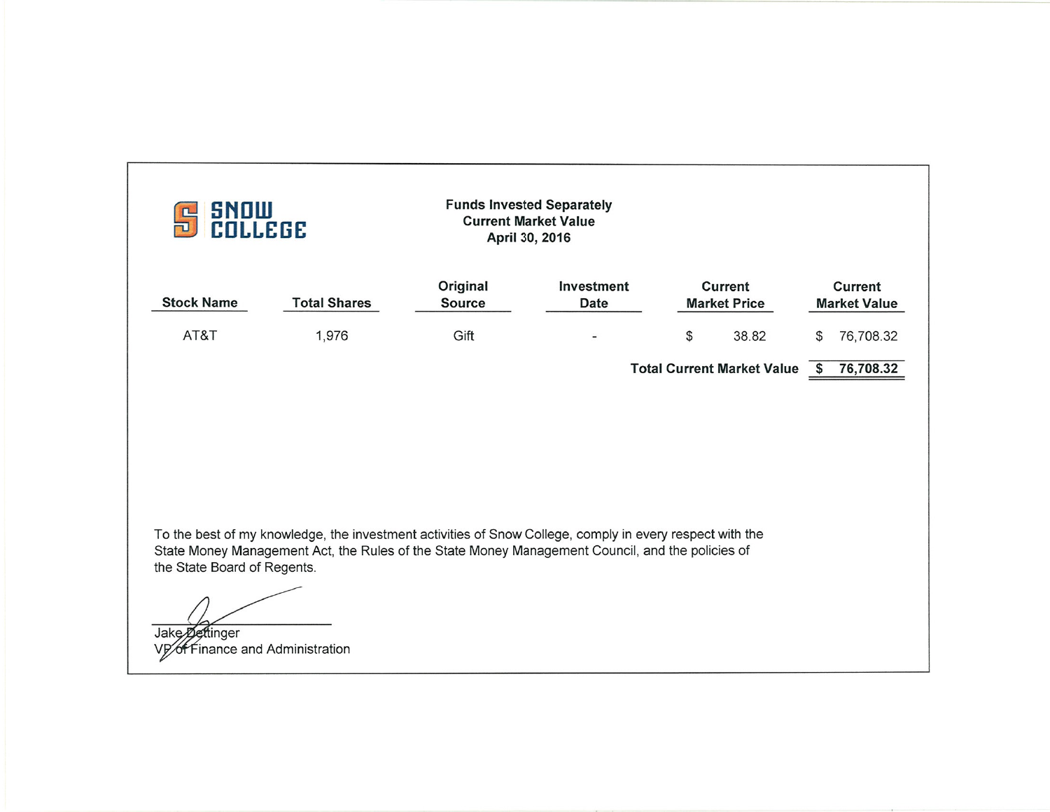| <b>SNOW<br/>COLLEGE</b><br>ПU                 |                                                                                                                                                                                                                                           | <b>Funds Invested Separately</b><br><b>Current Market Value</b><br>April 30, 2016 |                           |                                       |                                       |
|-----------------------------------------------|-------------------------------------------------------------------------------------------------------------------------------------------------------------------------------------------------------------------------------------------|-----------------------------------------------------------------------------------|---------------------------|---------------------------------------|---------------------------------------|
| <b>Stock Name</b>                             | <b>Total Shares</b>                                                                                                                                                                                                                       | Original<br><b>Source</b>                                                         | Investment<br><b>Date</b> | <b>Current</b><br><b>Market Price</b> | <b>Current</b><br><b>Market Value</b> |
| AT&T                                          | 1,976                                                                                                                                                                                                                                     | Gift                                                                              |                           | \$<br>38.82                           | 76,708.32<br>\$                       |
|                                               |                                                                                                                                                                                                                                           |                                                                                   |                           | <b>Total Current Market Value</b>     | 76,708.32<br>\$                       |
| the State Board of Regents.<br>Jake Dettinger | To the best of my knowledge, the investment activities of Snow College, comply in every respect with the<br>State Money Management Act, the Rules of the State Money Management Council, and the policies of<br>inance and Administration |                                                                                   |                           |                                       |                                       |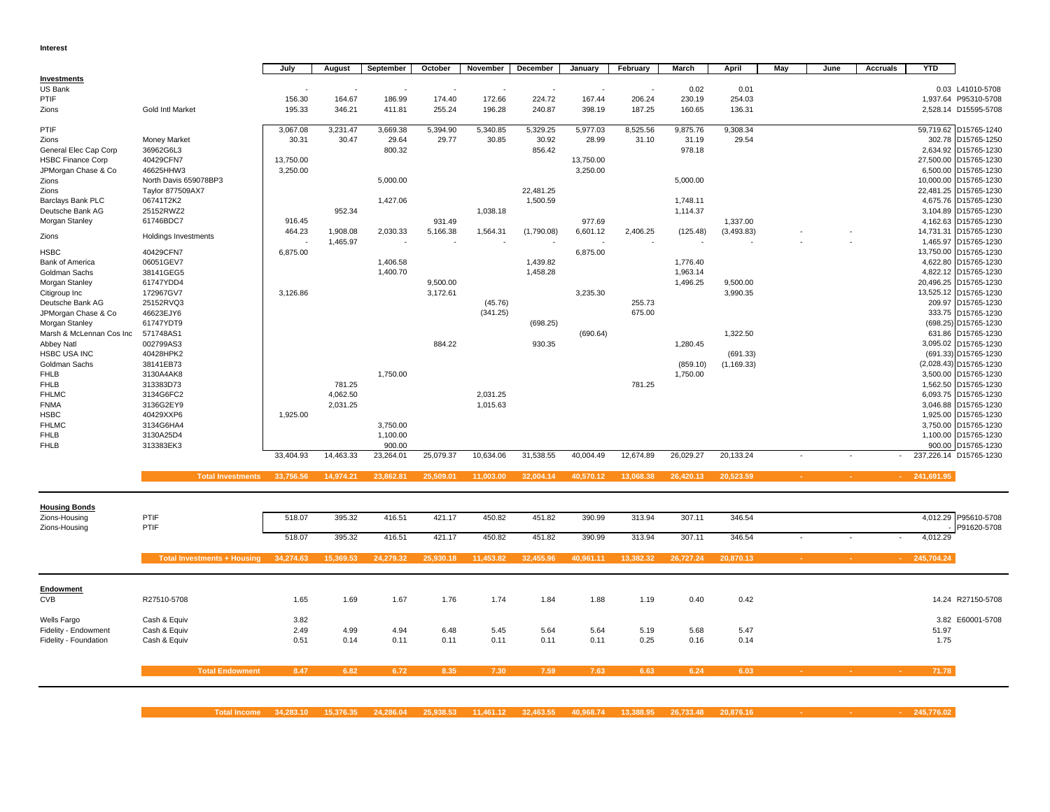#### **Interest**

**The Co** 

|                          |                       | July      | August    | September | October   | November  | December   | January   | February  | March     | April       | May | June | <b>Accruals</b> | <b>YTD</b> |                        |
|--------------------------|-----------------------|-----------|-----------|-----------|-----------|-----------|------------|-----------|-----------|-----------|-------------|-----|------|-----------------|------------|------------------------|
| Investments              |                       |           |           |           |           |           |            |           |           |           |             |     |      |                 |            |                        |
| <b>US Bank</b>           |                       |           |           |           | $\sim$    |           |            |           |           | 0.02      | 0.01        |     |      |                 |            | 0.03 L41010-5708       |
| PTIF                     |                       | 156.30    | 164.67    | 186.99    | 174.40    | 172.66    | 224.72     | 167.44    | 206.24    | 230.19    | 254.03      |     |      |                 |            | 1,937.64 P95310-5708   |
| Zions                    | Gold Intl Market      | 195.33    | 346.21    | 411.81    | 255.24    | 196.28    | 240.87     | 398.19    | 187.25    | 160.65    | 136.31      |     |      |                 |            | 2,528.14 D15595-5708   |
| PTIF                     |                       | 3,067.08  | 3,231.47  | 3,669.38  | 5,394.90  | 5,340.85  | 5,329.25   | 5,977.03  | 8,525.56  | 9,875.76  | 9,308.34    |     |      |                 |            | 59,719.62 D15765-1240  |
| Zions                    | <b>Money Market</b>   | 30.31     | 30.47     | 29.64     | 29.77     | 30.85     | 30.92      | 28.99     | 31.10     | 31.19     | 29.54       |     |      |                 |            | 302.78 D15765-1250     |
| General Elec Cap Corp    | 36962G6L3             |           |           | 800.32    |           |           | 856.42     |           |           | 978.18    |             |     |      |                 |            | 2,634.92 D15765-1230   |
| <b>HSBC Finance Corp</b> | 40429CFN7             | 13,750.00 |           |           |           |           |            | 13,750.00 |           |           |             |     |      |                 |            | 27,500.00 D15765-1230  |
| JPMorgan Chase & Co      | 46625HHW3             | 3,250.00  |           |           |           |           |            | 3,250.00  |           |           |             |     |      |                 |            | 6,500.00 D15765-1230   |
| Zions                    | North Davis 659078BP3 |           |           | 5,000.00  |           |           |            |           |           | 5,000.00  |             |     |      |                 |            | 10,000.00 D15765-1230  |
| Zions                    | Taylor 877509AX7      |           |           |           |           |           | 22,481.25  |           |           |           |             |     |      |                 |            | 22,481.25 D15765-1230  |
| <b>Barclays Bank PLC</b> | 06741T2K2             |           |           | 1,427.06  |           |           | 1,500.59   |           |           | 1,748.11  |             |     |      |                 |            | 4,675.76 D15765-1230   |
| Deutsche Bank AG         | 25152RWZ2             |           | 952.34    |           |           | 1,038.18  |            |           |           | 1,114.37  |             |     |      |                 |            | 3,104.89 D15765-1230   |
| Morgan Stanley           | 61746BDC7             | 916.45    |           |           | 931.49    |           |            | 977.69    |           |           | 1,337.00    |     |      |                 |            | 4,162.63 D15765-1230   |
| Zions                    | Holdings Investments  | 464.23    | 1,908.08  | 2,030.33  | 5,166.38  | 1,564.31  | (1,790.08) | 6,601.12  | 2,406.25  | (125.48)  | (3, 493.83) |     |      |                 |            | 14,731.31 D15765-1230  |
|                          |                       |           | 1,465.97  |           |           |           |            |           |           |           |             |     |      |                 |            | 1,465.97 D15765-1230   |
| <b>HSBC</b>              | 40429CFN7             | 6,875.00  |           |           |           |           |            | 6,875.00  |           |           |             |     |      |                 |            | 13,750.00 D15765-1230  |
| <b>Bank of America</b>   | 06051GEV7             |           |           | 1,406.58  |           |           | 1,439.82   |           |           | 1,776.40  |             |     |      |                 |            | 4,622.80 D15765-1230   |
| Goldman Sachs            | 38141GEG5             |           |           | 1,400.70  |           |           | 1,458.28   |           |           | 1,963.14  |             |     |      |                 |            | 4,822.12 D15765-1230   |
| Morgan Stanley           | 61747YDD4             |           |           |           | 9,500.00  |           |            |           |           | 1,496.25  | 9,500.00    |     |      |                 |            | 20,496.25 D15765-1230  |
| Citigroup Inc            | 172967GV7             | 3,126.86  |           |           | 3,172.61  |           |            | 3,235.30  |           |           | 3,990.35    |     |      |                 |            | 13,525.12 D15765-1230  |
| Deutsche Bank AG         | 25152RVQ3             |           |           |           |           | (45.76)   |            |           | 255.73    |           |             |     |      |                 |            | 209.97 D15765-1230     |
| JPMorgan Chase & Co      | 46623EJY6             |           |           |           |           | (341.25)  |            |           | 675.00    |           |             |     |      |                 |            | 333.75 D15765-1230     |
| Morgan Stanley           | 61747YDT9             |           |           |           |           |           | (698.25)   |           |           |           |             |     |      |                 |            | (698.25) D15765-1230   |
| Marsh & McLennan Cos Inc | 571748AS1             |           |           |           |           |           |            | (690.64)  |           |           | 1.322.50    |     |      |                 |            | 631.86 D15765-1230     |
| Abbey Natl               | 002799AS3             |           |           |           | 884.22    |           | 930.35     |           |           | 1,280.45  |             |     |      |                 |            | 3,095.02 D15765-1230   |
| <b>HSBC USA INC</b>      | 40428HPK2             |           |           |           |           |           |            |           |           |           | (691.33)    |     |      |                 |            | (691.33) D15765-1230   |
| Goldman Sachs            | 38141EB73             |           |           |           |           |           |            |           |           | (859.10)  | (1, 169.33) |     |      |                 |            | (2,028.43) D15765-1230 |
| <b>FHLB</b>              | 3130A4AK8             |           |           | 1,750.00  |           |           |            |           |           | 1,750.00  |             |     |      |                 |            | 3,500.00 D15765-1230   |
| <b>FHLB</b>              | 313383D73             |           | 781.25    |           |           |           |            |           | 781.25    |           |             |     |      |                 |            | 1,562.50 D15765-1230   |
| <b>FHLMC</b>             | 3134G6FC2             |           | 4,062.50  |           |           | 2,031.25  |            |           |           |           |             |     |      |                 |            | 6,093.75 D15765-1230   |
| <b>FNMA</b>              | 3136G2EY9             |           | 2,031.25  |           |           | 1,015.63  |            |           |           |           |             |     |      |                 |            | 3,046.88 D15765-1230   |
| <b>HSBC</b>              | 40429XXP6             | 1,925.00  |           |           |           |           |            |           |           |           |             |     |      |                 |            | 1,925.00 D15765-1230   |
| <b>FHLMC</b>             | 3134G6HA4             |           |           | 3.750.00  |           |           |            |           |           |           |             |     |      |                 |            | 3,750.00 D15765-1230   |
| <b>FHLB</b>              | 3130A25D4             |           |           | 1,100.00  |           |           |            |           |           |           |             |     |      |                 |            | 1,100.00 D15765-1230   |
| <b>FHLB</b>              | 313383EK3             |           |           | 900.00    |           |           |            |           |           |           |             |     |      |                 |            | 900.00 D15765-1230     |
|                          |                       | 33,404.93 | 14,463.33 | 23,264.01 | 25,079.37 | 10,634.06 | 31,538.55  | 40,004.49 | 12,674.89 | 26,029.27 | 20,133.24   |     |      |                 |            | 237,226.14 D15765-1230 |

Total Investments 33,756.56 14,974.21 23,862.81 25,509.01 11,003.00 32,004.14 40,570.12 13,068.38 26,420.13 20,523.59 - - - - - - 241,691.95

| <b>Housing Bonds</b><br>Zions-Housing<br>Zions-Housing | PTIF<br>PTIF                       | 518.07       | 395.32    | 416.51    | 421.17    | 450.82    | 451.82    | 390.99    | 313.94    | 307.11    | 346.54    |                 |                    | 4,012.29 P95610-5708<br>P91620-5708 |
|--------------------------------------------------------|------------------------------------|--------------|-----------|-----------|-----------|-----------|-----------|-----------|-----------|-----------|-----------|-----------------|--------------------|-------------------------------------|
|                                                        |                                    | 518.07       | 395.32    | 416.51    | 421.17    | 450.82    | 451.82    | 390.99    | 313.94    | 307.11    | 346.54    |                 |                    | 4,012.29<br>$\sim$                  |
|                                                        | <b>Total Investments + Housing</b> | 34,274.63    | 15,369.53 | 24,279.32 | 25,930.18 | 11,453.82 | 32,455.96 | 40,961.11 | 13,382.32 | 26,727.24 | 20,870.13 | <b>Service</b>  | <b>Service</b>     | $-245,704.24$                       |
| Endowment<br><b>CVB</b>                                | R27510-5708                        | 1.65         | 1.69      | 1.67      | 1.76      | 1.74      | 1.84      | 1.88      | 1.19      | 0.40      | 0.42      |                 |                    | 14.24 R27150-5708                   |
|                                                        |                                    |              |           |           |           |           |           |           |           |           |           |                 |                    |                                     |
| Wells Fargo<br>Fidelity - Endowment                    | Cash & Equiv<br>Cash & Equiv       | 3.82<br>2.49 | 4.99      | 4.94      | 6.48      | 5.45      | 5.64      | 5.64      | 5.19      | 5.68      | 5.47      |                 |                    | 3.82 E60001-5708<br>51.97           |
| Fidelity - Foundation                                  | Cash & Equiv                       | 0.51         | 0.14      | 0.11      | 0.11      | 0.11      | 0.11      | 0.11      | 0.25      | 0.16      | 0.14      |                 |                    | 1.75                                |
|                                                        | <b>Total Endowment</b>             | 8.47         | 6.82      | 6.72      | 8.35      | 7.30      | 7.59      | 7.63      | 6.63      | 6.24      | 6.03      | <b>Contract</b> | <b>State State</b> | 71.78<br><b>Contract</b>            |
|                                                        |                                    |              |           |           |           |           |           |           |           |           |           |                 |                    |                                     |

**Total Income 34,283.10 15,376.35 24,286.04 25,938.53 11,461.12 32,463.55 40,968.74 13,388.95 26,733.48 20,876.16 - - - 245,776.02**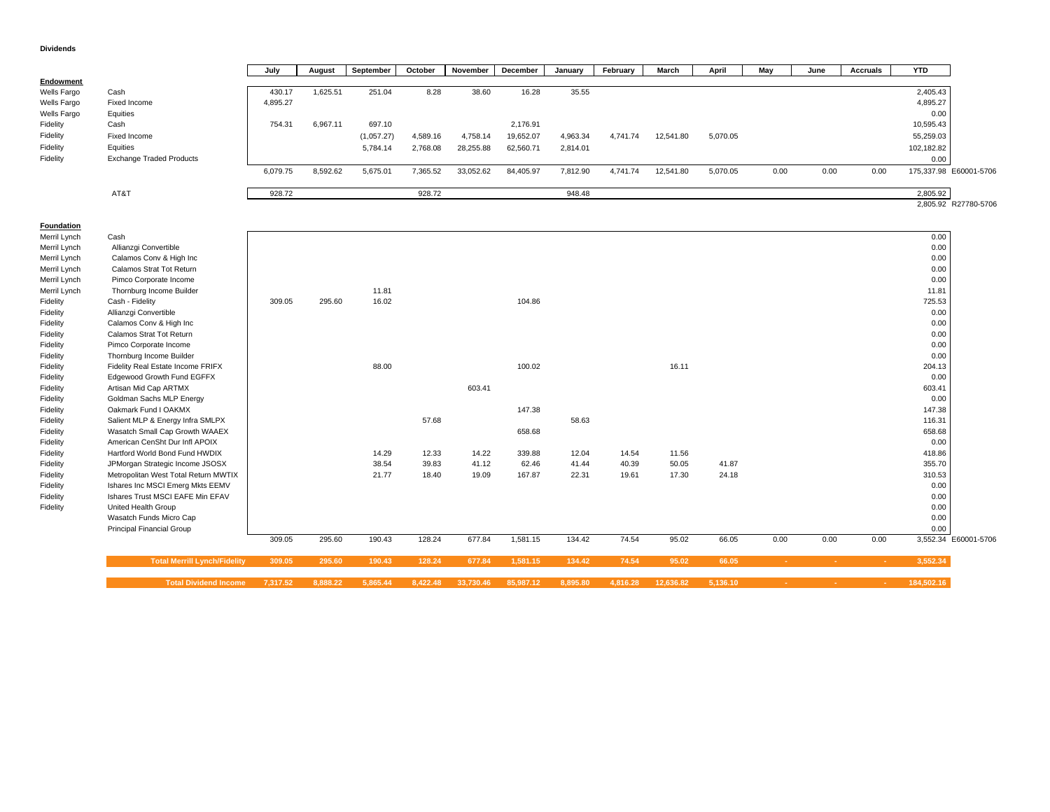#### **Dividends**

|                  |                                      | July     | August   | September  | October  | November  | December  | January  | February | March     | April    | May    | June            | <b>Accruals</b> | <b>YTD</b> |                        |
|------------------|--------------------------------------|----------|----------|------------|----------|-----------|-----------|----------|----------|-----------|----------|--------|-----------------|-----------------|------------|------------------------|
| <b>Endowment</b> |                                      |          |          |            |          |           |           |          |          |           |          |        |                 |                 |            |                        |
| Wells Fargo      | Cash                                 | 430.17   | 1,625.51 | 251.04     | 8.28     | 38.60     | 16.28     | 35.55    |          |           |          |        |                 |                 | 2,405.43   |                        |
| Wells Fargo      | Fixed Income                         | 4,895.27 |          |            |          |           |           |          |          |           |          |        |                 |                 | 4,895.27   |                        |
| Wells Fargo      | Equities                             |          |          |            |          |           |           |          |          |           |          |        |                 |                 | 0.00       |                        |
| Fidelity         | Cash                                 | 754.31   | 6,967.11 | 697.10     |          |           | 2,176.91  |          |          |           |          |        |                 |                 | 10,595.43  |                        |
| Fidelity         | Fixed Income                         |          |          | (1,057.27) | 4,589.16 | 4,758.14  | 19,652.07 | 4,963.34 | 4,741.74 | 12,541.80 | 5,070.05 |        |                 |                 | 55,259.03  |                        |
| Fidelity         | Equities                             |          |          | 5,784.14   | 2,768.08 | 28,255.88 | 62,560.71 | 2,814.01 |          |           |          |        |                 |                 | 102,182.82 |                        |
|                  |                                      |          |          |            |          |           |           |          |          |           |          |        |                 |                 |            |                        |
| Fidelity         | <b>Exchange Traded Products</b>      |          |          |            |          |           |           |          |          |           |          |        |                 |                 | 0.00       |                        |
|                  |                                      | 6,079.75 | 8,592.62 | 5,675.01   | 7,365.52 | 33,052.62 | 84,405.97 | 7,812.90 | 4,741.74 | 12,541.80 | 5,070.05 | 0.00   | 0.00            | 0.00            |            | 175,337.98 E60001-5706 |
|                  |                                      |          |          |            |          |           |           |          |          |           |          |        |                 |                 |            |                        |
|                  | AT&T                                 | 928.72   |          |            | 928.72   |           |           | 948.48   |          |           |          |        |                 |                 | 2,805.92   |                        |
|                  |                                      |          |          |            |          |           |           |          |          |           |          |        |                 |                 |            | 2,805.92 R27780-5706   |
|                  |                                      |          |          |            |          |           |           |          |          |           |          |        |                 |                 |            |                        |
| Foundation       |                                      |          |          |            |          |           |           |          |          |           |          |        |                 |                 |            |                        |
| Merril Lynch     | Cash                                 |          |          |            |          |           |           |          |          |           |          |        |                 |                 | 0.00       |                        |
| Merril Lynch     | Allianzgi Convertible                |          |          |            |          |           |           |          |          |           |          |        |                 |                 | 0.00       |                        |
| Merril Lynch     | Calamos Conv & High Inc              |          |          |            |          |           |           |          |          |           |          |        |                 |                 | 0.00       |                        |
| Merril Lynch     | Calamos Strat Tot Return             |          |          |            |          |           |           |          |          |           |          |        |                 |                 | 0.00       |                        |
| Merril Lynch     | Pimco Corporate Income               |          |          |            |          |           |           |          |          |           |          |        |                 |                 | 0.00       |                        |
| Merril Lynch     | Thornburg Income Builder             |          |          | 11.81      |          |           |           |          |          |           |          |        |                 |                 | 11.81      |                        |
| Fidelity         | Cash - Fidelity                      | 309.05   | 295.60   | 16.02      |          |           | 104.86    |          |          |           |          |        |                 |                 | 725.53     |                        |
| Fidelity         | Allianzgi Convertible                |          |          |            |          |           |           |          |          |           |          |        |                 |                 | 0.00       |                        |
| Fidelity         | Calamos Conv & High Inc              |          |          |            |          |           |           |          |          |           |          |        |                 |                 | 0.00       |                        |
| Fidelity         | Calamos Strat Tot Return             |          |          |            |          |           |           |          |          |           |          |        |                 |                 | 0.00       |                        |
| Fidelity         | Pimco Corporate Income               |          |          |            |          |           |           |          |          |           |          |        |                 |                 | 0.00       |                        |
| Fidelity         | Thornburg Income Builder             |          |          |            |          |           |           |          |          |           |          |        |                 |                 | 0.00       |                        |
| Fidelity         | Fidelity Real Estate Income FRIFX    |          |          | 88.00      |          |           | 100.02    |          |          | 16.11     |          |        |                 |                 | 204.13     |                        |
| Fidelity         | Edgewood Growth Fund EGFFX           |          |          |            |          |           |           |          |          |           |          |        |                 |                 | 0.00       |                        |
| Fidelity         | Artisan Mid Cap ARTMX                |          |          |            |          | 603.41    |           |          |          |           |          |        |                 |                 | 603.41     |                        |
| Fidelity         | Goldman Sachs MLP Energy             |          |          |            |          |           |           |          |          |           |          |        |                 |                 | 0.00       |                        |
| Fidelity         | Oakmark Fund I OAKMX                 |          |          |            |          |           | 147.38    |          |          |           |          |        |                 |                 | 147.38     |                        |
| Fidelity         | Salient MLP & Energy Infra SMLPX     |          |          |            | 57.68    |           |           | 58.63    |          |           |          |        |                 |                 | 116.31     |                        |
| Fidelity         | Wasatch Small Cap Growth WAAEX       |          |          |            |          |           | 658.68    |          |          |           |          |        |                 |                 | 658.68     |                        |
| Fidelity         | American CenSht Dur Infl APOIX       |          |          |            |          |           |           |          |          |           |          |        |                 |                 | 0.00       |                        |
| Fidelity         | Hartford World Bond Fund HWDIX       |          |          | 14.29      | 12.33    | 14.22     | 339.88    | 12.04    | 14.54    | 11.56     |          |        |                 |                 | 418.86     |                        |
| Fidelity         | JPMorgan Strategic Income JSOSX      |          |          | 38.54      | 39.83    | 41.12     | 62.46     | 41.44    | 40.39    | 50.05     | 41.87    |        |                 |                 | 355.70     |                        |
| Fidelity         | Metropolitan West Total Return MWTIX |          |          | 21.77      | 18.40    | 19.09     | 167.87    | 22.31    | 19.61    | 17.30     | 24.18    |        |                 |                 | 310.53     |                        |
| Fidelity         | Ishares Inc MSCI Emerg Mkts EEMV     |          |          |            |          |           |           |          |          |           |          |        |                 |                 | 0.00       |                        |
| Fidelity         | Ishares Trust MSCI EAFE Min EFAV     |          |          |            |          |           |           |          |          |           |          |        |                 |                 | 0.00       |                        |
| Fidelity         | United Health Group                  |          |          |            |          |           |           |          |          |           |          |        |                 |                 | 0.00       |                        |
|                  | Wasatch Funds Micro Cap              |          |          |            |          |           |           |          |          |           |          |        |                 |                 | 0.00       |                        |
|                  | <b>Principal Financial Group</b>     |          |          |            |          |           |           |          |          |           |          |        |                 |                 | 0.00       |                        |
|                  |                                      | 309.05   | 295.60   | 190.43     | 128.24   | 677.84    | 1,581.15  | 134.42   | 74.54    | 95.02     | 66.05    | 0.00   | 0.00            | 0.00            |            | 3,552.34 E60001-5706   |
|                  |                                      |          |          |            |          |           |           |          |          |           |          |        |                 |                 |            |                        |
|                  | <b>Total Merrill Lynch/Fidelity</b>  | 309.05   | 295.60   | 190.43     | 128.24   | 677.84    | 1,581.15  | 134.42   | 74.54    | 95.02     | 66.05    | $\sim$ | $\sim$          | na i            | 3,552.34   |                        |
|                  |                                      |          |          |            |          |           |           |          |          |           |          |        |                 |                 |            |                        |
|                  | <b>Total Dividend Income</b>         | 7.317.52 | 8.888.22 | 5.865.44   | 8.422.48 | 33.730.46 | 85.987.12 | 8.895.80 | 4.816.28 | 12.636.82 | 5.136.10 | $\sim$ | $\Delta \sim 1$ | <b>A</b>        | 184.502.16 |                        |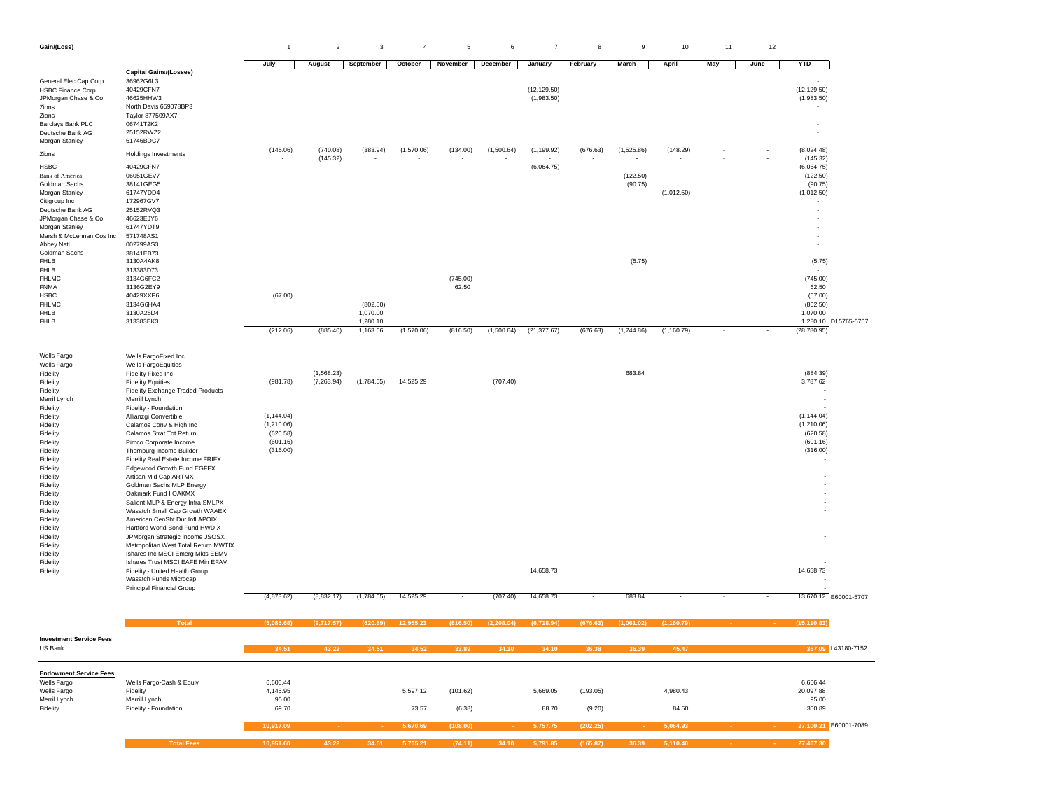#### 1 2 3 4 5 6 7 8 9 10 11  $12$

|                                                 |                                                                      | July                   | August     | September  | October    | November | December   | January                    | February | March      | April       | May | June | <b>YTD</b>                 |                       |
|-------------------------------------------------|----------------------------------------------------------------------|------------------------|------------|------------|------------|----------|------------|----------------------------|----------|------------|-------------|-----|------|----------------------------|-----------------------|
|                                                 | <b>Capital Gains/(Losses)</b>                                        |                        |            |            |            |          |            |                            |          |            |             |     |      |                            |                       |
| General Elec Cap Corp                           | 36962G6L3                                                            |                        |            |            |            |          |            |                            |          |            |             |     |      |                            |                       |
| <b>HSBC Finance Corp</b><br>JPMorgan Chase & Co | 40429CFN7<br>46625HHW3                                               |                        |            |            |            |          |            | (12, 129.50)<br>(1,983.50) |          |            |             |     |      | (12, 129.50)<br>(1,983.50) |                       |
| Zions                                           | North Davis 659078BP3                                                |                        |            |            |            |          |            |                            |          |            |             |     |      | $\sim$                     |                       |
| Zions                                           | Taylor 877509AX7                                                     |                        |            |            |            |          |            |                            |          |            |             |     |      |                            |                       |
| Barclays Bank PLC                               | 06741T2K2<br>25152RWZ2                                               |                        |            |            |            |          |            |                            |          |            |             |     |      | $\overline{\phantom{a}}$   |                       |
| Deutsche Bank AG<br>Morgan Stanley              | 61746BDC7                                                            |                        |            |            |            |          |            |                            |          |            |             |     |      |                            |                       |
|                                                 |                                                                      | (145.06)               | (740.08)   | (383.94)   | (1,570.06) | (134.00) | (1,500.64) | (1, 199.92)                | (676.63) | (1,525.86) | (148.29)    |     |      | (8,024.48)                 |                       |
| Zions                                           | Holdings Investments                                                 |                        | (145.32)   |            |            |          |            |                            |          |            |             |     |      | (145.32)                   |                       |
| <b>HSBC</b><br><b>Bank of America</b>           | 40429CFN7<br>06051GEV7                                               |                        |            |            |            |          |            | (6,064.75)                 |          | (122.50)   |             |     |      | (6,064.75)<br>(122.50)     |                       |
| Goldman Sachs                                   | 38141GEG5                                                            |                        |            |            |            |          |            |                            |          | (90.75)    |             |     |      | (90.75)                    |                       |
| Morgan Stanley                                  | 61747YDD4                                                            |                        |            |            |            |          |            |                            |          |            | (1,012.50)  |     |      | (1,012.50)                 |                       |
| Citigroup Inc                                   | 172967GV7                                                            |                        |            |            |            |          |            |                            |          |            |             |     |      | $\overline{\phantom{a}}$   |                       |
| Deutsche Bank AG<br>JPMorgan Chase & Co         | 25152RVQ3<br>46623EJY6                                               |                        |            |            |            |          |            |                            |          |            |             |     |      | $\sim$                     |                       |
| Morgan Stanley                                  | 61747YDT9                                                            |                        |            |            |            |          |            |                            |          |            |             |     |      |                            |                       |
| Marsh & McLennan Cos Inc                        | 571748AS1                                                            |                        |            |            |            |          |            |                            |          |            |             |     |      |                            |                       |
| Abbey Natl                                      | 002799AS3                                                            |                        |            |            |            |          |            |                            |          |            |             |     |      | $\overline{\phantom{a}}$   |                       |
| Goldman Sachs<br><b>FHLB</b>                    | 38141EB73<br>3130A4AK8                                               |                        |            |            |            |          |            |                            |          | (5.75)     |             |     |      | (5.75)                     |                       |
| <b>FHLB</b>                                     | 313383D73                                                            |                        |            |            |            |          |            |                            |          |            |             |     |      |                            |                       |
| <b>FHLMC</b>                                    | 3134G6FC2                                                            |                        |            |            |            | (745.00) |            |                            |          |            |             |     |      | (745.00)                   |                       |
| <b>FNMA</b>                                     | 3136G2EY9                                                            |                        |            |            |            | 62.50    |            |                            |          |            |             |     |      | 62.50                      |                       |
| <b>HSBC</b><br><b>FHLMC</b>                     | 40429XXP6<br>3134G6HA4                                               | (67.00)                |            | (802.50)   |            |          |            |                            |          |            |             |     |      | (67.00)<br>(802.50)        |                       |
| <b>FHLB</b>                                     | 3130A25D4                                                            |                        |            | 1,070.00   |            |          |            |                            |          |            |             |     |      | 1,070.00                   |                       |
| <b>FHLB</b>                                     | 313383EK3                                                            |                        |            | 1,280.10   |            |          |            |                            |          |            |             |     |      |                            | 1,280.10 D15765-5707  |
|                                                 |                                                                      | (212.06)               | (885.40)   | 1,163.66   | (1,570.06) | (816.50) | (1,500.64) | (21, 377.67)               | (676.63) | (1,744.86) | (1, 160.79) |     |      | (28, 780.95)               |                       |
|                                                 |                                                                      |                        |            |            |            |          |            |                            |          |            |             |     |      |                            |                       |
| Wells Fargo                                     | Wells FargoFixed Inc                                                 |                        |            |            |            |          |            |                            |          |            |             |     |      |                            |                       |
| Wells Fargo                                     | <b>Wells FargoEquities</b>                                           |                        |            |            |            |          |            |                            |          |            |             |     |      |                            |                       |
| Fidelity                                        | Fidelity Fixed Inc                                                   |                        | (1,568.23) |            |            |          |            |                            |          | 683.84     |             |     |      | (884.39)                   |                       |
| Fidelity<br>Fidelity                            | <b>Fidelity Equities</b><br>Fidelity Exchange Traded Products        | (981.78)               | (7,263.94) | (1,784.55) | 14,525.29  |          | (707.40)   |                            |          |            |             |     |      | 3,787.62                   |                       |
| Merril Lynch                                    | Merrill Lynch                                                        |                        |            |            |            |          |            |                            |          |            |             |     |      |                            |                       |
| Fidelity                                        | Fidelity - Foundation                                                |                        |            |            |            |          |            |                            |          |            |             |     |      |                            |                       |
| Fidelity                                        | Allianzgi Convertible                                                | (1, 144.04)            |            |            |            |          |            |                            |          |            |             |     |      | (1, 144.04)                |                       |
| Fidelity<br>Fidelity                            | Calamos Conv & High Inc<br>Calamos Strat Tot Return                  | (1,210.06)<br>(620.58) |            |            |            |          |            |                            |          |            |             |     |      | (1, 210.06)<br>(620.58)    |                       |
| Fidelity                                        | Pimco Corporate Income                                               | (601.16)               |            |            |            |          |            |                            |          |            |             |     |      | (601.16)                   |                       |
| Fidelity                                        | Thornburg Income Builder                                             | (316.00)               |            |            |            |          |            |                            |          |            |             |     |      | (316.00)                   |                       |
| Fidelity                                        | Fidelity Real Estate Income FRIFX                                    |                        |            |            |            |          |            |                            |          |            |             |     |      |                            |                       |
| Fidelity<br>Fidelity                            | Edgewood Growth Fund EGFFX<br>Artisan Mid Cap ARTMX                  |                        |            |            |            |          |            |                            |          |            |             |     |      |                            |                       |
| Fidelity                                        | Goldman Sachs MLP Energy                                             |                        |            |            |            |          |            |                            |          |            |             |     |      |                            |                       |
| Fidelity                                        | Oakmark Fund I OAKMX                                                 |                        |            |            |            |          |            |                            |          |            |             |     |      |                            |                       |
| Fidelity                                        | Salient MLP & Energy Infra SMLPX                                     |                        |            |            |            |          |            |                            |          |            |             |     |      |                            |                       |
| Fidelity<br>Fidelity                            | Wasatch Small Cap Growth WAAEX<br>American CenSht Dur Infl APOIX     |                        |            |            |            |          |            |                            |          |            |             |     |      |                            |                       |
| Fidelity                                        | Hartford World Bond Fund HWDIX                                       |                        |            |            |            |          |            |                            |          |            |             |     |      |                            |                       |
| Fidelity                                        | JPMorgan Strategic Income JSOSX                                      |                        |            |            |            |          |            |                            |          |            |             |     |      |                            |                       |
| Fidelity                                        | Metropolitan West Total Return MWTIX                                 |                        |            |            |            |          |            |                            |          |            |             |     |      |                            |                       |
| Fidelity<br>Fidelity                            | Ishares Inc MSCI Emerg Mkts EEMV<br>Ishares Trust MSCI EAFE Min EFAV |                        |            |            |            |          |            |                            |          |            |             |     |      |                            |                       |
| Fidelity                                        | Fidelity - United Health Group                                       |                        |            |            |            |          |            | 14,658.73                  |          |            |             |     |      | 14,658.73                  |                       |
|                                                 | Wasatch Funds Microcap                                               |                        |            |            |            |          |            |                            |          |            |             |     |      |                            |                       |
|                                                 | Principal Financial Group                                            | (4,873.62)             | (8,832.17) | (1,784.55) | 14,525.29  | $\sim$   | (707.40)   | 14,658.73                  | $\sim$   | 683.84     | $\sim$      |     |      |                            | 13,670.12 E60001-5707 |
|                                                 |                                                                      |                        |            |            |            |          |            |                            |          |            |             |     |      |                            |                       |
|                                                 |                                                                      |                        |            |            |            |          |            |                            |          |            |             |     |      |                            |                       |
|                                                 | Tota                                                                 | (5.085.68)             | (9.717.57  | (620.89    | 12.955.23  | (816.50) | (2.208.04) | (6.718.94                  | (676.63  | (1.061.02) | (1.160.79   |     |      | (15, 110.83)               |                       |
| <b>Investment Service Fees</b>                  |                                                                      |                        |            |            |            |          |            |                            |          |            |             |     |      |                            |                       |
| US Bank                                         |                                                                      | 34.51                  | 43.22      | 34.51      | 34.52      | 33.89    | 34.10      | 34.10                      | 36.38    | 36.39      | 45.47       |     |      |                            | 367.09 L43180-7152    |
| <b>Endowment Service Fees</b>                   |                                                                      |                        |            |            |            |          |            |                            |          |            |             |     |      |                            |                       |
| Wells Fargo                                     | Wells Fargo-Cash & Equiv                                             | 6,606.44               |            |            |            |          |            |                            |          |            |             |     |      | 6,606.44                   |                       |
| Wells Fargo                                     | Fidelity<br>Merrill Lynch                                            | 4,145.95<br>95.00      |            |            | 5,597.12   | (101.62) |            | 5,669.05                   | (193.05) |            | 4,980.43    |     |      | 20,097.88<br>95.00         |                       |
| Merril Lynch<br>Fidelity                        | Fidelity - Foundation                                                | 69.70                  |            |            | 73.57      | (6.38)   |            | 88.70                      | (9.20)   |            | 84.50       |     |      | 300.89                     |                       |
|                                                 |                                                                      |                        |            |            |            |          |            |                            |          |            |             |     |      |                            |                       |
|                                                 |                                                                      | 10,917.09              |            |            | 5,670.69   | (108.00) |            | 5,757.75                   | (202.25) |            | 5,064.93    |     |      |                            | 27,100.21 E60001-7089 |
|                                                 | <b>Total Fees</b>                                                    |                        |            |            |            |          |            |                            |          |            |             |     |      | 27,467.30                  |                       |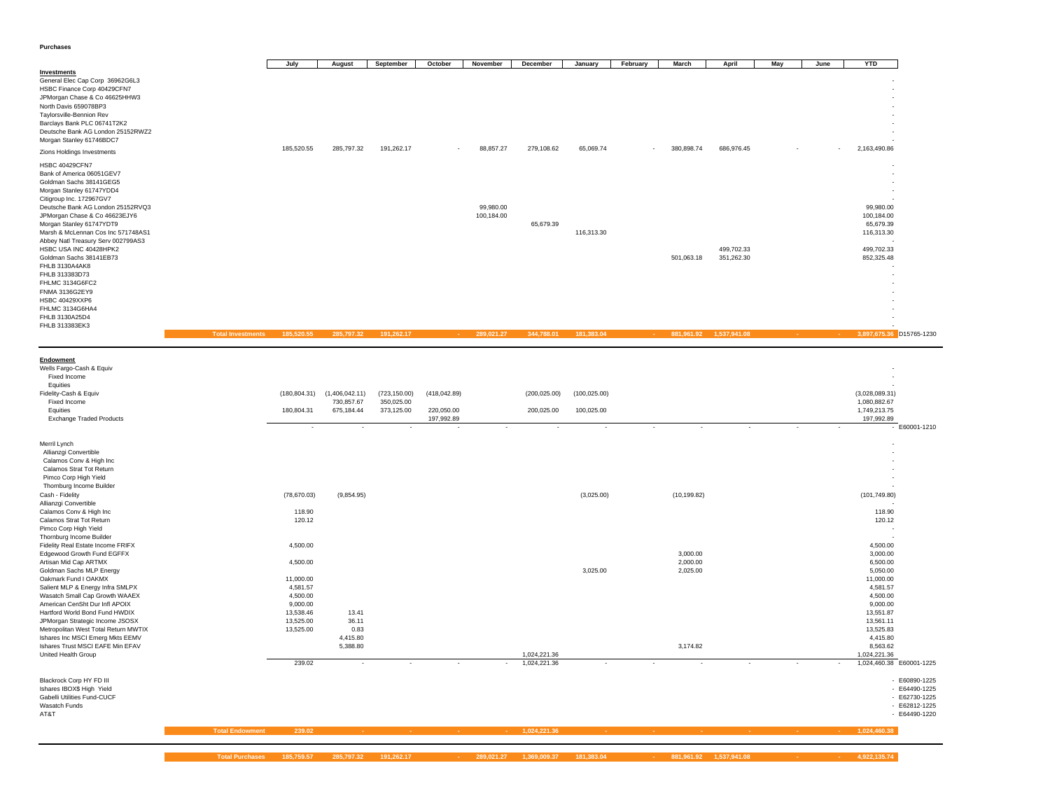**Purchases**

|                                                                                                                                                                                                                                                |                          | July                   | August                   | September                | October                  | November                | December                     | January       | February | <b>March</b>         | April                    | May |    | June | <b>YTD</b>                                           |
|------------------------------------------------------------------------------------------------------------------------------------------------------------------------------------------------------------------------------------------------|--------------------------|------------------------|--------------------------|--------------------------|--------------------------|-------------------------|------------------------------|---------------|----------|----------------------|--------------------------|-----|----|------|------------------------------------------------------|
| <b>Investments</b><br>General Elec Cap Corp 36962G6L3<br>HSBC Finance Corp 40429CFN7<br>JPMorgan Chase & Co 46625HHW3<br>North Davis 659078BP3<br>Taylorsville-Bennion Rev<br>Barclays Bank PLC 06741T2K2<br>Deutsche Bank AG London 25152RWZ2 |                          |                        |                          |                          |                          |                         |                              |               |          |                      |                          |     |    |      |                                                      |
| Morgan Stanley 61746BDC7<br>Zions Holdings Investments                                                                                                                                                                                         |                          | 185,520.55             | 285,797.32               | 191,262.17               |                          | 88,857.27               | 279,108.62                   | 65,069.74     |          | 380,898.74           | 686,976.45               |     |    |      | 2,163,490.86                                         |
| HSBC 40429CFN7<br>Bank of America 06051GEV7<br>Goldman Sachs 38141GEG5<br>Morgan Stanley 61747YDD4<br>Citigroup Inc. 172967GV7<br>Deutsche Bank AG London 25152RVQ3<br>JPMorgan Chase & Co 46623EJY6                                           |                          |                        |                          |                          |                          | 99,980.00<br>100,184.00 |                              |               |          |                      |                          |     |    |      | 99,980.00<br>100,184.00                              |
| Morgan Stanley 61747YDT9<br>Marsh & McLennan Cos Inc 571748AS1<br>Abbey Natl Treasury Serv 002799AS3<br>HSBC USA INC 40428HPK2<br>Goldman Sachs 38141EB73<br>FHLB 3130A4AK8<br>FHLB 313383D73                                                  |                          |                        |                          |                          |                          |                         | 65,679.39                    | 116,313.30    |          | 501,063.18           | 499,702.33<br>351,262.30 |     |    |      | 65,679.39<br>116,313.30<br>499,702.33<br>852,325.48  |
| FHLMC 3134G6FC2<br>FNMA 3136G2EY9<br>HSBC 40429XXP6<br>FHLMC 3134G6HA4<br>FHLB 3130A25D4<br>FHLB 313383EK3                                                                                                                                     |                          |                        |                          |                          |                          |                         |                              |               |          |                      |                          |     |    |      |                                                      |
|                                                                                                                                                                                                                                                | <b>Total Investments</b> | 185,520.55             | 285,797.32               | 191,262.17               |                          | 289,021.27              | 344,788.01                   | 181,383.04    |          | 881,961.92           | 1,537,941.08             |     |    |      | 3,897,675.36 D15765-1230                             |
|                                                                                                                                                                                                                                                |                          |                        |                          |                          |                          |                         |                              |               |          |                      |                          |     |    |      |                                                      |
|                                                                                                                                                                                                                                                |                          |                        |                          |                          |                          |                         |                              |               |          |                      |                          |     |    |      |                                                      |
| Endowment<br>Wells Fargo-Cash & Equiv<br>Fixed Income                                                                                                                                                                                          |                          |                        |                          |                          |                          |                         |                              |               |          |                      |                          |     |    |      |                                                      |
| Equities<br>Fidelity-Cash & Equiv<br>Fixed Income                                                                                                                                                                                              |                          | (180, 804.31)          | (1,406,042.11)           | (723, 150.00)            | (418, 042.89)            |                         | (200, 025.00)                | (100, 025.00) |          |                      |                          |     |    |      | (3,028,089.31)                                       |
| Equities<br><b>Exchange Traded Products</b>                                                                                                                                                                                                    |                          | 180,804.31             | 730,857.67<br>675,184.44 | 350,025.00<br>373,125.00 | 220,050.00<br>197,992.89 |                         | 200,025.00                   | 100,025.00    |          |                      |                          |     |    |      | 1,080,882.67<br>1,749,213.75<br>197,992.89           |
|                                                                                                                                                                                                                                                |                          | $\epsilon$             |                          |                          |                          | $\sim$                  | $\epsilon$                   | $\sim$        |          |                      |                          |     | ä, |      | $-$ E60001-1210                                      |
| Merril Lynch<br>Allianzgi Convertible<br>Calamos Conv & High Inc<br>Calamos Strat Tot Return<br>Pimco Corp High Yield                                                                                                                          |                          |                        |                          |                          |                          |                         |                              |               |          |                      |                          |     |    |      |                                                      |
| Thornburg Income Builder<br>Cash - Fidelity                                                                                                                                                                                                    |                          | (78, 670.03)           | (9,854.95)               |                          |                          |                         |                              | (3,025.00)    |          | (10, 199.82)         |                          |     |    |      | (101, 749.80)                                        |
| Allianzgi Convertible<br>Calamos Conv & High Inc<br>Calamos Strat Tot Return<br>Pimco Corp High Yield                                                                                                                                          |                          | 118.90<br>120.12       |                          |                          |                          |                         |                              |               |          |                      |                          |     |    |      | 118.90<br>120.12                                     |
|                                                                                                                                                                                                                                                |                          | 4,500.00               |                          |                          |                          |                         |                              |               |          |                      |                          |     |    |      | 4,500.00                                             |
| Thornburg Income Builder<br>Fidelity Real Estate Income FRIFX<br>Edgewood Growth Fund EGFFX<br>Artisan Mid Cap ARTMX                                                                                                                           |                          | 4,500.00               |                          |                          |                          |                         |                              |               |          | 3,000.00<br>2,000.00 |                          |     |    |      | 3,000.00<br>6,500.00                                 |
| Goldman Sachs MLP Energy<br>Oakmark Fund I OAKMX<br>Salient MLP & Energy Infra SMLPX                                                                                                                                                           |                          | 11,000.00<br>4,581.57  |                          |                          |                          |                         |                              | 3,025.00      |          | 2,025.00             |                          |     |    |      | 5,050.00<br>11,000.00<br>4,581.57                    |
| Wasatch Small Cap Growth WAAEX<br>American CenSht Dur Infl APOIX                                                                                                                                                                               |                          | 4,500.00<br>9,000.00   |                          |                          |                          |                         |                              |               |          |                      |                          |     |    |      | 4,500.00<br>9,000.00                                 |
| Hartford World Bond Fund HWDIX<br>JPMorgan Strategic Income JSOSX                                                                                                                                                                              |                          | 13,538.46<br>13,525.00 | 13.41<br>36.11           |                          |                          |                         |                              |               |          |                      |                          |     |    |      | 13,551.87<br>13,561.11                               |
| Metropolitan West Total Return MWTIX<br>Ishares Inc MSCI Emerg Mkts EEMV                                                                                                                                                                       |                          | 13,525.00              | 0.83<br>4,415.80         |                          |                          |                         |                              |               |          |                      |                          |     |    |      | 13,525.83<br>4,415.80                                |
| Ishares Trust MSCI EAFE Min EFAV<br>United Health Group                                                                                                                                                                                        |                          | 239.02                 | 5,388.80                 |                          |                          |                         | 1,024,221.36<br>1,024,221.36 |               |          | 3,174.82<br>$\sim$   |                          |     |    |      | 8,563.62<br>1,024,221.36<br>1,024,460.38 E60001-1225 |

Ishares IBOX\$ High Yield - E64490-1225 Gabelli Utilities Fund-CUCF<br>Wasatch Funds<br>AT&T

 - E62730-1225 - E62812-1225- E60890-1225<br>- E64490-1225<br>- E62730-1225<br>- E62812-1225<br>- E64490-1220 - E64490-1220

**Total Endowment 239.02 - - - - 1,024,221.36 - - - - - - 1,024,460.38**

**Total Purchases 185,759.57 285,797.32 191,262.17 - 289,021.27 1,369,009.37 181,383.04 - 881,961.92 1,537,941.08 - - 4,922,135.74**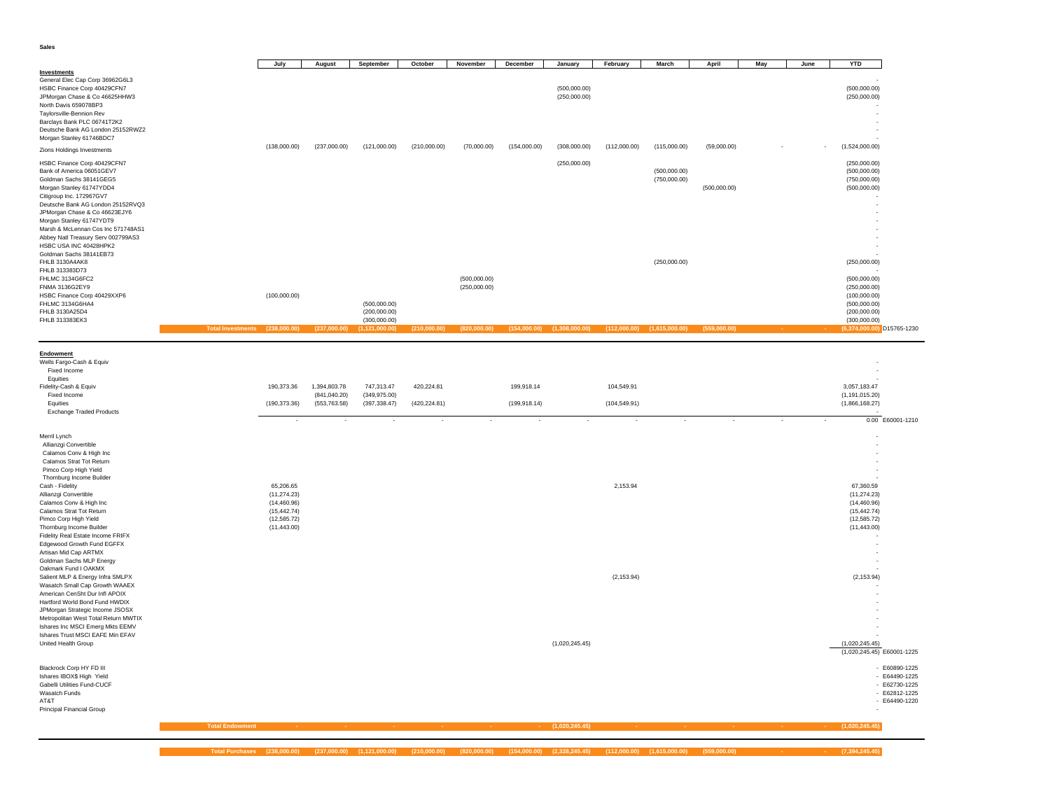**Sales**

 $\sim 10$ 

| Investments                                                                                                                                                                                                                                                                                                                                                                                                                                                                                                                                                                                                                                                                                                                                                                   |                        | July                                                                                      | August                                         | September                                    | October                     | November                     | December                    | January                      | February                    | March                        | April        | May | June | <b>YTD</b>                                                                                                                 |                                                                                       |
|-------------------------------------------------------------------------------------------------------------------------------------------------------------------------------------------------------------------------------------------------------------------------------------------------------------------------------------------------------------------------------------------------------------------------------------------------------------------------------------------------------------------------------------------------------------------------------------------------------------------------------------------------------------------------------------------------------------------------------------------------------------------------------|------------------------|-------------------------------------------------------------------------------------------|------------------------------------------------|----------------------------------------------|-----------------------------|------------------------------|-----------------------------|------------------------------|-----------------------------|------------------------------|--------------|-----|------|----------------------------------------------------------------------------------------------------------------------------|---------------------------------------------------------------------------------------|
| General Elec Cap Corp 36962G6L3<br>HSBC Finance Corp 40429CFN7<br>JPMorgan Chase & Co 46625HHW3<br>North Davis 659078BP3<br>Taylorsville-Bennion Rev<br>Barclays Bank PLC 06741T2K2<br>Deutsche Bank AG London 25152RWZ2<br>Morgan Stanley 61746BDC7                                                                                                                                                                                                                                                                                                                                                                                                                                                                                                                          |                        |                                                                                           |                                                |                                              |                             |                              |                             | (500,000.00)<br>(250,000.00) |                             |                              |              |     |      | (500,000.00)<br>(250,000.00)                                                                                               |                                                                                       |
| Zions Holdings Investments                                                                                                                                                                                                                                                                                                                                                                                                                                                                                                                                                                                                                                                                                                                                                    |                        | (138,000.00)                                                                              | (237,000.00)                                   | (121,000.00)                                 | (210,000.00)                | (70,000.00)                  | (154,000.00)                | (308,000.00)                 | (112,000.00)                | (115,000.00)                 | (59,000.00)  |     |      | (1,524,000.00)                                                                                                             |                                                                                       |
| HSBC Finance Corp 40429CFN7<br>Bank of America 06051GEV7<br>Goldman Sachs 38141GEG5<br>Morgan Stanley 61747YDD4<br>Citigroup Inc. 172967GV7<br>Deutsche Bank AG London 25152RVQ3<br>JPMorgan Chase & Co 46623EJY6<br>Morgan Stanley 61747YDT9<br>Marsh & McLennan Cos Inc 571748AS1<br>Abbey Natl Treasury Serv 002799AS3<br>HSBC USA INC 40428HPK2                                                                                                                                                                                                                                                                                                                                                                                                                           |                        |                                                                                           |                                                |                                              |                             |                              |                             | (250,000.00)                 |                             | (500,000.00)<br>(750,000.00) | (500,000.00) |     |      | (250,000.00)<br>(500,000.00)<br>(750,000.00)<br>(500,000.00)                                                               |                                                                                       |
| Goldman Sachs 38141EB73<br>FHLB 3130A4AK8                                                                                                                                                                                                                                                                                                                                                                                                                                                                                                                                                                                                                                                                                                                                     |                        |                                                                                           |                                                |                                              |                             |                              |                             |                              |                             | (250,000.00)                 |              |     |      |                                                                                                                            |                                                                                       |
| FHLB 313383D73<br>FHLMC 3134G6FC2<br>FNMA 3136G2EY9<br>HSBC Finance Corp 40429XXP6<br>FHLMC 3134G6HA4<br>FHLB 3130A25D4<br>FHLB 313383EK3                                                                                                                                                                                                                                                                                                                                                                                                                                                                                                                                                                                                                                     |                        | (100,000.00)                                                                              |                                                | (500,000.00)<br>(200,000.00)<br>(300,000.00) |                             | (500,000.00)<br>(250,000.00) |                             |                              |                             |                              |              |     |      | (250,000.00)<br>(500,000.00)<br>(250,000.00)<br>(100,000.00)<br>(500,000.00)<br>(200,000.00)<br>(300,000.00)               |                                                                                       |
|                                                                                                                                                                                                                                                                                                                                                                                                                                                                                                                                                                                                                                                                                                                                                                               |                        | (238,000.00                                                                               | (237.000.00                                    | 1.121.000.00                                 | (210,000.00)                |                              | (154.000.00                 |                              | (112.000.00)                |                              | (559.000.00  |     |      |                                                                                                                            | $(6,374,000.00)$ D15765-1230                                                          |
| Endowment<br>Wells Fargo-Cash & Equiv<br>Fixed Income<br>Equities<br>Fidelity-Cash & Equiv<br>Fixed Income<br>Equities<br><b>Exchange Traded Products</b>                                                                                                                                                                                                                                                                                                                                                                                                                                                                                                                                                                                                                     |                        | 190,373.36<br>(190, 373.36)                                                               | 1,394,803.78<br>(841, 040.20)<br>(553, 763.58) | 747,313.47<br>(349, 975.00)<br>(397, 338.47) | 420,224.81<br>(420, 224.81) |                              | 199,918.14<br>(199, 918.14) |                              | 104,549.91<br>(104, 549.91) |                              |              |     |      | 3,057,183.47<br>(1, 191, 015.20)<br>(1,866,168.27)                                                                         | 0.00 E60001-1210                                                                      |
| Merril Lynch<br>Allianzgi Convertible<br>Calamos Conv & High Inc<br>Calamos Strat Tot Return<br>Pimco Corp High Yield<br>Thornburg Income Builder<br>Cash - Fidelity<br>Allianzgi Convertible<br>Calamos Conv & High Inc<br>Calamos Strat Tot Return<br>Pimco Corp High Yield<br>Thornburg Income Builder<br>Fidelity Real Estate Income FRIFX<br>Edgewood Growth Fund EGFFX<br>Artisan Mid Cap ARTMX<br>Goldman Sachs MLP Energy<br>Oakmark Fund I OAKMX<br>Salient MLP & Energy Infra SMLPX<br>Wasatch Small Cap Growth WAAEX<br>American CenSht Dur Infl APOIX<br>Hartford World Bond Fund HWDIX<br>JPMorgan Strategic Income JSOSX<br>Metropolitan West Total Return MWTIX<br>Ishares Inc MSCI Emerg Mkts EEMV<br>Ishares Trust MSCI EAFE Min EFAV<br>United Health Group |                        | 65,206.65<br>(11, 274.23)<br>(14, 460.96)<br>(15, 442.74)<br>(12, 585.72)<br>(11, 443.00) |                                                |                                              |                             |                              |                             | (1,020,245.45)               | 2,153.94<br>(2, 153.94)     |                              |              |     |      | 67,360.59<br>(11, 274.23)<br>(14, 460.96)<br>(15, 442.74)<br>(12, 585.72)<br>(11, 443.00)<br>(2, 153.94)<br>(1,020,245.45) | $(1,020,245.45)$ E60001-1225                                                          |
| Blackrock Corp HY FD III<br>Ishares IBOX\$ High Yield<br>Gabelli Utilities Fund-CUCF<br>Wasatch Funds<br>AT&T<br><b>Principal Financial Group</b>                                                                                                                                                                                                                                                                                                                                                                                                                                                                                                                                                                                                                             |                        |                                                                                           |                                                |                                              |                             |                              |                             |                              |                             |                              |              |     |      |                                                                                                                            | - E60890-1225<br>$- E64490 - 1225$<br>- E62730-1225<br>- E62812-1225<br>- E64490-1220 |
|                                                                                                                                                                                                                                                                                                                                                                                                                                                                                                                                                                                                                                                                                                                                                                               | <b>Total Endowment</b> |                                                                                           |                                                |                                              |                             |                              |                             | (1,020,245.45)               |                             |                              |              |     |      | (1,020,245.45)                                                                                                             |                                                                                       |
|                                                                                                                                                                                                                                                                                                                                                                                                                                                                                                                                                                                                                                                                                                                                                                               |                        |                                                                                           |                                                |                                              |                             |                              |                             |                              |                             |                              |              |     |      |                                                                                                                            |                                                                                       |

Total Purchases (238,000.00) (237,000.00) (1,121,000.00) (310,000.00) (820,000.00) (1,54,000.00) (2,328,245.45) (112,000.00) (1,615,000.00) (559,000.00) - - - - (7,394,245.45)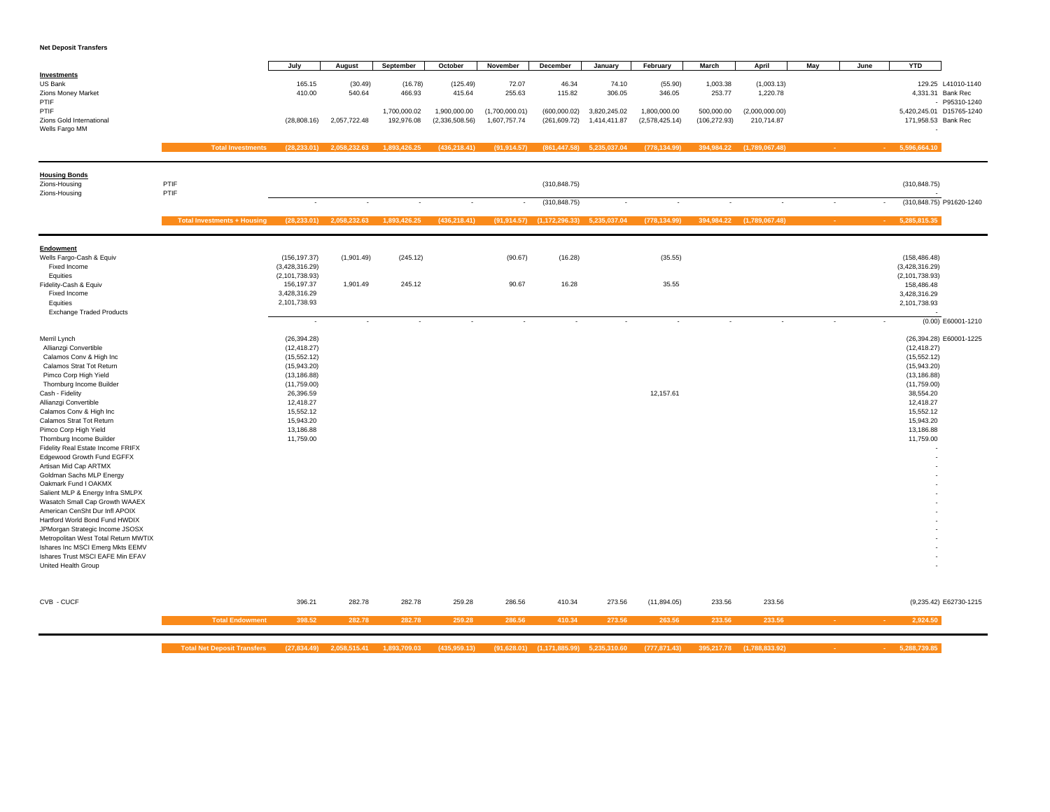#### **Net Deposit Transfers**

|                                                                                                                                                                                                                                                                                                                                                                                                                                                                                                                                                                                                                                                                                                                                                                               |                                    | July                                                                                                                                                                     | August                          | September                  | October                        | November                       | December                                      | January                      | February                       | March                       | April                        | May                      | June                     | <b>YTD</b>                                                                                                                                               |                                                          |
|-------------------------------------------------------------------------------------------------------------------------------------------------------------------------------------------------------------------------------------------------------------------------------------------------------------------------------------------------------------------------------------------------------------------------------------------------------------------------------------------------------------------------------------------------------------------------------------------------------------------------------------------------------------------------------------------------------------------------------------------------------------------------------|------------------------------------|--------------------------------------------------------------------------------------------------------------------------------------------------------------------------|---------------------------------|----------------------------|--------------------------------|--------------------------------|-----------------------------------------------|------------------------------|--------------------------------|-----------------------------|------------------------------|--------------------------|--------------------------|----------------------------------------------------------------------------------------------------------------------------------------------------------|----------------------------------------------------------|
| Investments<br>US Bank<br>Zions Money Market<br>PTIF                                                                                                                                                                                                                                                                                                                                                                                                                                                                                                                                                                                                                                                                                                                          |                                    | 165.15<br>410.00                                                                                                                                                         | (30.49)<br>540.64               | (16.78)<br>466.93          | (125.49)<br>415.64             | 72.07<br>255.63                | 46.34<br>115.82                               | 74.10<br>306.05              | (55.90)<br>346.05              | 1,003.38<br>253.77          | (1,003.13)<br>1,220.78       |                          |                          |                                                                                                                                                          | 129.25 L41010-1140<br>4,331.31 Bank Rec<br>- P95310-1240 |
| PTIF<br>Zions Gold International<br>Wells Fargo MM                                                                                                                                                                                                                                                                                                                                                                                                                                                                                                                                                                                                                                                                                                                            |                                    | (28, 808.16)                                                                                                                                                             | 2,057,722.48                    | 1,700,000.02<br>192,976.08 | 1,900,000.00<br>(2,336,508.56) | (1,700,000.01)<br>1,607,757.74 | (600,000.02)<br>(261, 609.72)                 | 3,820,245.02<br>1,414,411.87 | 1,800,000.00<br>(2,578,425.14) | 500,000.00<br>(106, 272.93) | (2,000,000.00)<br>210,714.87 |                          |                          | 5,420,245.01 D15765-1240<br>171,958.53 Bank Rec                                                                                                          |                                                          |
|                                                                                                                                                                                                                                                                                                                                                                                                                                                                                                                                                                                                                                                                                                                                                                               | <b>Total Investments</b>           | (28, 233.01)                                                                                                                                                             | 2,058,232.63                    | 1,893,426.25               | (436, 218.41)                  | (91, 914.57)                   | (861, 447.58)                                 | 5,235,037.04                 | (778, 134.99)                  | 394,984.22                  | (1,789,067.48)               |                          |                          | 5,596,664.10                                                                                                                                             |                                                          |
| <b>Housing Bonds</b><br>Zions-Housing<br>Zions-Housing                                                                                                                                                                                                                                                                                                                                                                                                                                                                                                                                                                                                                                                                                                                        | PTIF<br>PTIF                       |                                                                                                                                                                          |                                 |                            |                                |                                | (310, 848.75)                                 |                              |                                |                             |                              |                          |                          | (310, 848.75)                                                                                                                                            |                                                          |
|                                                                                                                                                                                                                                                                                                                                                                                                                                                                                                                                                                                                                                                                                                                                                                               |                                    | $\overline{\phantom{a}}$                                                                                                                                                 | $\overline{\phantom{a}}$        | $\overline{\phantom{a}}$   | $\overline{\phantom{a}}$       |                                | (310, 848.75)                                 | $\sim$                       | $\overline{\phantom{a}}$       | $\sim$                      |                              | $\sim$                   |                          |                                                                                                                                                          | (310,848.75) P91620-1240                                 |
|                                                                                                                                                                                                                                                                                                                                                                                                                                                                                                                                                                                                                                                                                                                                                                               | <b>Total Investments + Housing</b> |                                                                                                                                                                          | $(28, 233.01)$ $2, 058, 232.63$ | 1,893,426.25               | (436, 218.41)                  |                                | $(91,914.57)$ $(1,172,296.33)$ $5,235,037.04$ |                              | (778, 134.99)                  |                             | 394,984.22 (1,789,067.48)    |                          |                          | 5,285,815.35                                                                                                                                             |                                                          |
| Endowment<br>Wells Fargo-Cash & Equiv<br>Fixed Income                                                                                                                                                                                                                                                                                                                                                                                                                                                                                                                                                                                                                                                                                                                         |                                    | (156, 197.37)<br>(3,428,316.29)                                                                                                                                          | (1,901.49)                      | (245.12)                   |                                | (90.67)                        | (16.28)                                       |                              | (35.55)                        |                             |                              |                          |                          | (158, 486.48)<br>(3,428,316.29)                                                                                                                          |                                                          |
| Equities<br>Fidelity-Cash & Equiv<br>Fixed Income<br>Equities                                                                                                                                                                                                                                                                                                                                                                                                                                                                                                                                                                                                                                                                                                                 |                                    | (2, 101, 738.93)<br>156,197.37<br>3,428,316.29<br>2,101,738.93                                                                                                           | 1,901.49                        | 245.12                     |                                | 90.67                          | 16.28                                         |                              | 35.55                          |                             |                              |                          |                          | (2, 101, 738.93)<br>158.486.48<br>3,428,316.29<br>2,101,738.93                                                                                           |                                                          |
| <b>Exchange Traded Products</b>                                                                                                                                                                                                                                                                                                                                                                                                                                                                                                                                                                                                                                                                                                                                               |                                    | $\overline{\phantom{a}}$                                                                                                                                                 | $\sim$                          | $\overline{a}$             | $\overline{\phantom{a}}$       | $\overline{\phantom{a}}$       | $\overline{\phantom{a}}$                      |                              | $\overline{\phantom{a}}$       |                             |                              | $\overline{\phantom{a}}$ | $\overline{\phantom{a}}$ |                                                                                                                                                          | (0.00) E60001-1210                                       |
| Merril Lynch<br>Allianzgi Convertible<br>Calamos Conv & High Inc<br>Calamos Strat Tot Return<br>Pimco Corp High Yield<br>Thornburg Income Builder<br>Cash - Fidelity<br>Allianzgi Convertible<br>Calamos Conv & High Inc<br>Calamos Strat Tot Return<br>Pimco Corp High Yield<br>Thornburg Income Builder<br>Fidelity Real Estate Income FRIFX<br>Edgewood Growth Fund EGFFX<br>Artisan Mid Cap ARTMX<br>Goldman Sachs MLP Energy<br>Oakmark Fund I OAKMX<br>Salient MLP & Energy Infra SMLPX<br>Wasatch Small Cap Growth WAAEX<br>American CenSht Dur Infl APOIX<br>Hartford World Bond Fund HWDIX<br>JPMorgan Strategic Income JSOSX<br>Metropolitan West Total Return MWTIX<br>Ishares Inc MSCI Emerg Mkts EEMV<br>Ishares Trust MSCI EAFE Min EFAV<br>United Health Group |                                    | (26, 394.28)<br>(12, 418.27)<br>(15, 552.12)<br>(15,943.20)<br>(13, 186.88)<br>(11,759.00)<br>26,396.59<br>12,418.27<br>15,552.12<br>15,943.20<br>13,186.88<br>11,759.00 |                                 |                            |                                |                                |                                               |                              | 12,157.61                      |                             |                              |                          |                          | (12, 418.27)<br>(15, 552.12)<br>(15,943.20)<br>(13, 186.88)<br>(11,759.00)<br>38,554.20<br>12,418.27<br>15,552.12<br>15,943.20<br>13,186.88<br>11,759.00 | (26,394.28) E60001-1225                                  |
| CVB - CUCF                                                                                                                                                                                                                                                                                                                                                                                                                                                                                                                                                                                                                                                                                                                                                                    |                                    | 396.21                                                                                                                                                                   | 282.78                          | 282.78                     | 259.28                         | 286.56                         | 410.34                                        | 273.56                       | (11, 894.05)                   | 233.56                      | 233.56                       |                          |                          |                                                                                                                                                          | (9,235.42) E62730-1215                                   |
|                                                                                                                                                                                                                                                                                                                                                                                                                                                                                                                                                                                                                                                                                                                                                                               | <b>Total Endowment</b>             | 398.52                                                                                                                                                                   | 282.78                          | 282.78                     | 259.28                         | 286.56                         | 410.34                                        | 273.56                       | 263.56                         | 233.56                      | 233.56                       |                          |                          | 2,924.50                                                                                                                                                 |                                                          |

Total Net Deposit Transfers (27,834.49) 2,058,515.41 1,893,709.03 (435,959.13) (91,628.01) (1,171,885.99) 5,235,310.60 (777,871.43) 395,217.78 (1,788,833.92) - - - - 5,288,739.85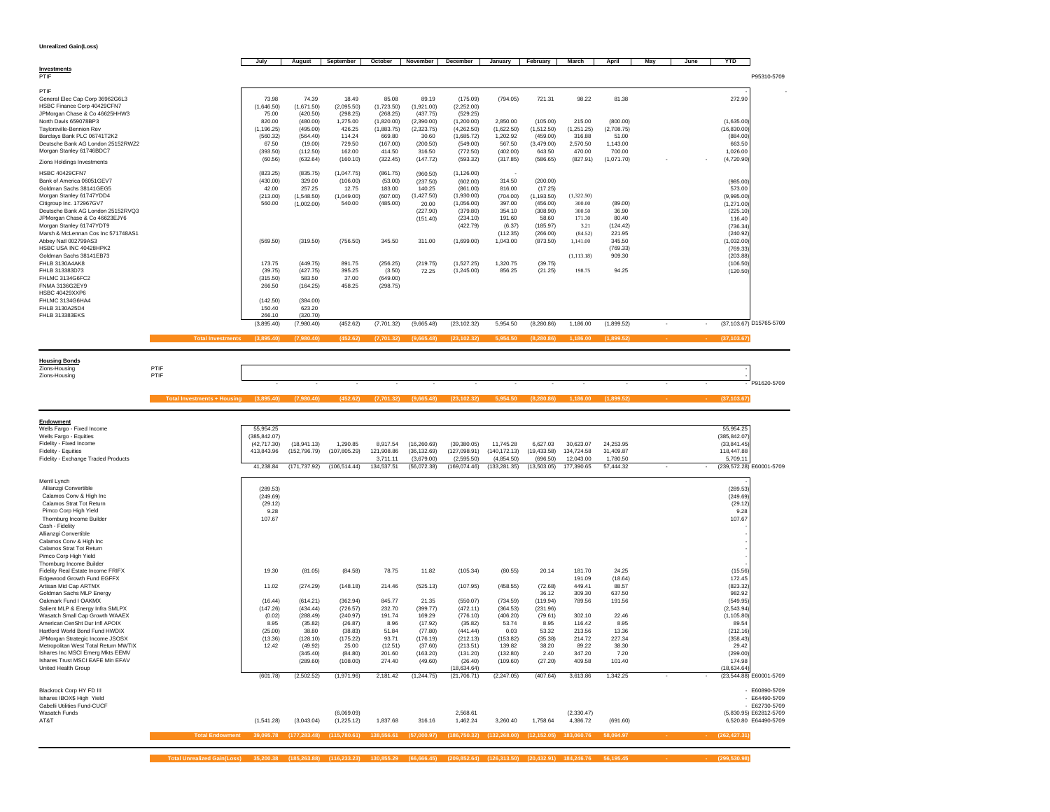**Unrealized Gain(Loss)**

|                                    | July        | August     | September  | October    | November   | December     | January    | February    | March       | April      | May | June | <b>YTD</b>   |                         |
|------------------------------------|-------------|------------|------------|------------|------------|--------------|------------|-------------|-------------|------------|-----|------|--------------|-------------------------|
| Investments<br>PTIF                |             |            |            |            |            |              |            |             |             |            |     |      |              | P95310-5709             |
|                                    |             |            |            |            |            |              |            |             |             |            |     |      |              |                         |
| PTIF                               |             |            |            |            |            |              |            |             |             |            |     |      |              |                         |
| General Elec Cap Corp 36962G6L3    | 73.98       | 74.39      | 18.49      | 85.08      | 89.19      | (175.09)     | (794.05)   | 721.31      | 98.22       | 81.38      |     |      | 272.90       |                         |
| HSBC Finance Corp 40429CFN7        | (1,646.50)  | (1,671.50) | (2,095.50) | (1,723.50) | (1,921.00) | (2.252.00)   |            |             |             |            |     |      |              |                         |
| JPMorgan Chase & Co 46625HHW3      | 75.00       | (420.50)   | (298.25)   | (268.25)   | (437.75)   | (529.25)     |            |             |             |            |     |      |              |                         |
| North Davis 659078BP3              | 820.00      | (480.00)   | 1,275.00   | (1,820.00) | (2,390.00) | (1,200.00)   | 2,850.00   | (105.00)    | 215.00      | (800.00)   |     |      | (1,635.00)   |                         |
| Tavlorsville-Bennion Rev           | (1, 196.25) | (495.00)   | 426.25     | (1.883.75) | (2,323.75) | (4.262.50)   | (1.622.50) | (1,512.50)  | (1, 251.25) | (2.708.75) |     |      | (16, 830.00) |                         |
| Barclays Bank PLC 06741T2K2        | (560.32)    | (564.40)   | 114.24     | 669.80     | 30.60      | (1,685.72)   | 1,202.92   | (459.00)    | 316.88      | 51.00      |     |      | (884.00)     |                         |
| Deutsche Bank AG London 25152RWZ2  | 67.50       | (19.00)    | 729.50     | (167.00)   | (200.50)   | (549.00)     | 567.50     | (3,479.00)  | 2,570.50    | 1,143.00   |     |      | 663.50       |                         |
| Morgan Stanley 61746BDC7           | (393.50)    | (112.50)   | 162.00     | 414.50     | 316.50     | (772.50)     | (402.00)   | 643.50      | 470.00      | 700.00     |     |      | 1,026.00     |                         |
| Zions Holdings Investments         | (60.56)     | (632.64)   | (160.10)   | (322.45)   | (147.72)   | (593.32)     | (317.85)   | (586.65)    | (827.91)    | (1,071.70) |     |      | (4,720.90)   |                         |
| <b>HSBC 40429CFN7</b>              | (823.25)    | (835.75)   | (1,047.75) | (861.75)   | (960.50)   | (1, 126.00)  | . .        |             |             |            |     |      |              |                         |
| Bank of America 06051GFV7          | (430.00)    | 329.00     | (106.00)   | (53.00)    | (237.50)   | (602.00)     | 314.50     | (200.00)    |             |            |     |      | (985.00)     |                         |
| Goldman Sachs 38141GEG5            | 42.00       | 257.25     | 12.75      | 183.00     | 140.25     | (861.00)     | 816.00     | (17.25)     |             |            |     |      | 573.00       |                         |
| Morgan Stanley 61747YDD4           | (213.00)    | (1,548.50) | (1,049.00) | (607.00)   | (1,427.50) | (1,930.00)   | (704.00)   | (1, 193.50) | (1,322.50)  |            |     |      | (9,995.00)   |                         |
| Citigroup Inc. 172967GV7           | 560.00      | (1,002.00) | 540.00     | (485.00)   | 20.00      | (1,056.00)   | 397.00     | (456.00)    | 300.00      | (89.00)    |     |      | (1,271.00)   |                         |
| Deutsche Bank AG London 25152RVQ3  |             |            |            |            | (227.90)   | (379.80)     | 354.10     | (308.90)    | 300.50      | 36.90      |     |      | (225.10)     |                         |
| JPMorgan Chase & Co 46623EJY6      |             |            |            |            | (151.40)   | (234.10)     | 191.60     | 58.60       | 171.30      | 80.40      |     |      | 116.40       |                         |
| Morgan Stanley 61747YDT9           |             |            |            |            |            | (422.79)     | (6.37)     | (185.97)    | 3.21        | (124.42)   |     |      | (736.34)     |                         |
| Marsh & McLennan Cos Inc 571748AS1 |             |            |            |            |            |              | (112.35)   | (266.00)    | (84.52)     | 221.95     |     |      | (240.92)     |                         |
| Abbey Natl 002799AS3               | (569.50)    | (319.50)   | (756.50)   | 345.50     | 311.00     | (1.699.00)   | 1.043.00   | (873.50)    | 1.141.00    | 345.50     |     |      | (1,032.00)   |                         |
| HSBC USA INC 40428HPK2             |             |            |            |            |            |              |            |             |             | (769.33)   |     |      | (769.33)     |                         |
| Goldman Sachs 38141EB73            |             |            |            |            |            |              |            |             | (1, 113.18) | 909.30     |     |      | (203.88)     |                         |
| FHLB 3130A4AK8                     | 173.75      | (449.75)   | 891.75     | (256.25)   | (219.75)   | (1,527.25)   | 1,320.75   | (39.75)     |             |            |     |      | (106.50)     |                         |
| FHLB 313383D73                     | (39.75)     | (427.75)   | 395.25     | (3.50)     | 72.25      | (1,245.00)   | 856.25     | (21.25)     | 198.75      | 94.25      |     |      | (120.50)     |                         |
| FHLMC 3134G6FC2                    | (315.50)    | 583.50     | 37.00      | (649.00)   |            |              |            |             |             |            |     |      |              |                         |
| FNMA 3136G2EY9                     | 266.50      | (164.25)   | 458.25     | (298.75)   |            |              |            |             |             |            |     |      |              |                         |
| HSBC 40429XXP6                     |             |            |            |            |            |              |            |             |             |            |     |      |              |                         |
| FHLMC 3134G6HA4                    | (142.50)    | (384.00)   |            |            |            |              |            |             |             |            |     |      |              |                         |
| FHLB 3130A25D4                     | 150.40      | 623.20     |            |            |            |              |            |             |             |            |     |      |              |                         |
| FHLB 313383EKS                     | 266.10      | (320.70)   |            |            |            |              |            |             |             |            |     |      |              |                         |
|                                    | (3,895.40)  | (7,980.40) | (452.62)   | (7,701.32) | (9,665.48) | (23, 102.32) | 5,954.50   | (8,280.86)  | 1,186.00    | (1,899.52) |     |      |              | (37,103.67) D15765-5709 |
| <b>Total Investments</b>           | (3,895.40)  | (7,980.40) | (452.62)   | (7,701.32) | (9,665.48) | (23, 102.32) | 5,954.50   | (8, 280.86) | 1.186.00    | (1,899.52) | - 1 |      | (37, 103.67) |                         |
|                                    |             |            |            |            |            |              |            |             |             |            |     |      |              |                         |

- - - - - - - - - - - - P91620-5709

 $-$  P91620-5709

-

**Housing Bonds** Zions-Housing PTIF -

Zions-Housing PTIF -

|                                      | <b>Fotal Investments + Housing</b> |               |               | (452.62       | (7,701.32) |              | (23, 102.32)  |               | (8, 280.86)  |            | (1,899.52) |                  | (37, 103.67)                   |                      |
|--------------------------------------|------------------------------------|---------------|---------------|---------------|------------|--------------|---------------|---------------|--------------|------------|------------|------------------|--------------------------------|----------------------|
|                                      |                                    |               |               |               |            |              |               |               |              |            |            |                  |                                |                      |
| <b>Endowment</b>                     |                                    |               |               |               |            |              |               |               |              |            |            |                  |                                |                      |
| Wells Fargo - Fixed Income           |                                    | 55,954.25     |               |               |            |              |               |               |              |            |            |                  | 55,954.25                      |                      |
| Wells Fargo - Equities               |                                    | (385, 842.07) |               |               |            |              |               |               |              |            |            |                  | (385, 842.07                   |                      |
| Fidelity - Fixed Income              |                                    | (42, 717.30)  | (18, 941.13)  | 1,290.85      | 8,917.54   | (16, 260.69) | (39, 380.05)  | 11,745.28     | 6,627.03     | 30,623.07  | 24,253.95  |                  | (33, 841.45)                   |                      |
| Fidelity - Equities                  |                                    | 413.843.96    | (152, 796.79) | (107.805.29)  | 121.908.86 | (36, 132.69) | (127.098.91)  | (140, 172.13) | (19, 433.58) | 134,724.58 | 31,409.87  |                  | 118,447.88                     |                      |
| Fidelity - Exchange Traded Products  |                                    |               |               |               | 3.711.11   | (3.679.00)   | (2.595.50)    | (4.854.50)    | (696.50)     | 12.043.00  | 1.780.50   |                  | 5.709.11                       |                      |
|                                      |                                    | 41.238.84     | (171.737.92)  | (106, 514.44) | 134,537.51 | (56,072.38)  | (169, 074.46) | (133, 281.35) | (13,503.05)  | 177,390.65 | 57,444.32  | ٠                | (239,572.28) E60001-5709       |                      |
| Merril Lynch                         |                                    |               |               |               |            |              |               |               |              |            |            |                  |                                |                      |
| Allianzgi Convertible                |                                    | (289.53)      |               |               |            |              |               |               |              |            |            |                  | (289.53)                       |                      |
| Calamos Conv & High Inc              |                                    | (249.69)      |               |               |            |              |               |               |              |            |            |                  | (249.69)                       |                      |
| Calamos Strat Tot Return             |                                    | (29.12)       |               |               |            |              |               |               |              |            |            |                  | (29.12)                        |                      |
| Pimco Corp High Yield                |                                    | 9.28          |               |               |            |              |               |               |              |            |            |                  | 9.28                           |                      |
| Thornburg Income Builder             |                                    | 107.67        |               |               |            |              |               |               |              |            |            |                  | 107.67                         |                      |
| Cash - Fidelity                      |                                    |               |               |               |            |              |               |               |              |            |            |                  |                                |                      |
| Allianzgi Convertible                |                                    |               |               |               |            |              |               |               |              |            |            |                  |                                |                      |
| Calamos Conv & High Inc              |                                    |               |               |               |            |              |               |               |              |            |            |                  |                                |                      |
| Calamos Strat Tot Return             |                                    |               |               |               |            |              |               |               |              |            |            |                  |                                |                      |
| Pimco Corp High Yield                |                                    |               |               |               |            |              |               |               |              |            |            |                  |                                |                      |
| Thornburg Income Builder             |                                    |               |               |               |            |              |               |               |              |            |            |                  |                                |                      |
| Fidelity Real Estate Income FRIFX    |                                    | 19.30         |               |               | 78.75      | 11.82        |               | (80.55)       | 20.14        | 181.70     | 24.25      |                  | (15.56)                        |                      |
|                                      |                                    |               | (81.05)       | (84.58)       |            |              | (105.34)      |               |              |            |            |                  | 172.45                         |                      |
| Edgewood Growth Fund EGFFX           |                                    |               |               |               |            |              |               |               |              | 191.09     | (18.64)    |                  |                                |                      |
| Artisan Mid Cap ARTMX                |                                    | 11.02         | (274.29)      | (148.18)      | 214.46     | (525.13)     | (107.95)      | (458.55)      | (72.68)      | 449.41     | 88.57      |                  | (823.32)                       |                      |
| Goldman Sachs MLP Energy             |                                    |               |               |               |            |              |               |               | 36.12        | 309.30     | 637.50     |                  | 982.92                         |                      |
| Oakmark Fund I OAKMX                 |                                    | (16.44)       | (614.21)      | (362.94)      | 845.77     | 21.35        | (550.07)      | (734.59)      | (119.94)     | 789.56     | 191.56     |                  | (549.95)                       |                      |
| Salient MLP & Energy Infra SMLPX     |                                    | (147.26)      | (434.44)      | (726.57)      | 232.70     | (399.77)     | (472.11)      | (364.53)      | (231.96)     |            |            |                  | (2, 543.94)                    |                      |
| Wasatch Small Cap Growth WAAEX       |                                    | (0.02)        | (288.49)      | (240.97)      | 191.74     | 169.29       | (776.10)      | (406.20)      | (79.61)      | 302.10     | 22.46      |                  | (1, 105.80)                    |                      |
| American CenSht Dur Infl APOIX       |                                    | 8.95          | (35.82)       | (26.87)       | 8.96       | (17.92)      | (35.82)       | 53.74         | 8.95         | 116.42     | 8.95       |                  | 89.54                          |                      |
| Hartford World Bond Fund HWDIX       |                                    | (25.00)       | 38.80         | (38.83)       | 51.84      | (77.80)      | (441.44)      | 0.03          | 53.32        | 213.56     | 13.36      |                  | (212.16)                       |                      |
| JPMorgan Strategic Income JSOSX      |                                    | (13.36)       | (128.10)      | (175.22)      | 93.71      | (176.19)     | (212.13)      | (153.82)      | (35.38)      | 214.72     | 227.34     |                  | (358.43)                       |                      |
| Metropolitan West Total Return MWTIX |                                    | 12.42         | (49.92)       | 25.00         | (12.51)    | (37.60)      | (213.51)      | 139.82        | 38.20        | 89.22      | 38.30      |                  | 29.42                          |                      |
| Ishares Inc MSCI Emerg Mkts EEMV     |                                    |               | (345.40)      | (84.80)       | 201.60     | (163.20)     | (131.20)      | (132.80)      | 2.40         | 347.20     | 7.20       |                  | (299.00)                       |                      |
| Ishares Trust MSCI EAFE Min EFAV     |                                    |               | (289.60)      | (108.00)      | 274.40     | (49.60)      | (26.40)       | (109.60)      | (27.20)      | 409.58     | 101.40     |                  | 174.98                         |                      |
| United Health Group                  |                                    |               |               |               |            |              | (18, 634.64)  |               |              |            |            |                  | (18, 634.64)                   |                      |
|                                      |                                    | (601.78)      | (2.502.52)    | (1.971.96)    | 2.181.42   | (1.244.75)   | (21.706.71)   | (2, 247.05)   | (407.64)     | 3.613.86   | 1.342.25   |                  | (23,544.88) E60001-5709        |                      |
| Blackrock Corp HY FD III             |                                    |               |               |               |            |              |               |               |              |            |            |                  |                                | $- E60890 - 5709$    |
| Ishares IBOX\$ High Yield            |                                    |               |               |               |            |              |               |               |              |            |            |                  |                                | $- E64490 - 5709$    |
| Gabelli Utilities Fund-CUCF          |                                    |               |               |               |            |              |               |               |              |            |            |                  |                                | - E62730-5709        |
| Wasatch Funds                        |                                    |               |               | (6,069.09)    |            |              | 2,568.61      |               |              | (2,330.47) |            |                  | (5,830.95) E62812-5709         |                      |
| AT&T                                 |                                    | (1,541.28)    | (3,043.04)    | (1,225.12)    | 1,837.68   | 316.16       | 1,462.24      | 3,260.40      | 1,758.64     | 4,386.72   | (691.60)   |                  |                                | 6,520.80 E64490-5709 |
|                                      |                                    |               |               |               |            |              |               |               |              |            |            |                  |                                |                      |
|                                      | <b>Total Endowment</b>             | 39.095.78     | (177.283.48)  | (115.780.61)  | 138.556.61 | (57,000.97)  | (186.750.32)  | (132.268.00)  | (12.152.05)  | 183.060.76 | 58.094.97  | $\Delta \sim 10$ | (262.427.31)<br><b>Section</b> |                      |

**Total Unrealized Gain(Loss) 35,200.38 (185,263.88) (116,233.23) 130,855.29 (66,666.45) (209,852.64) (126,313.50) (20,432.91) 184,246.76 56,195.45 - - (299,530.98)**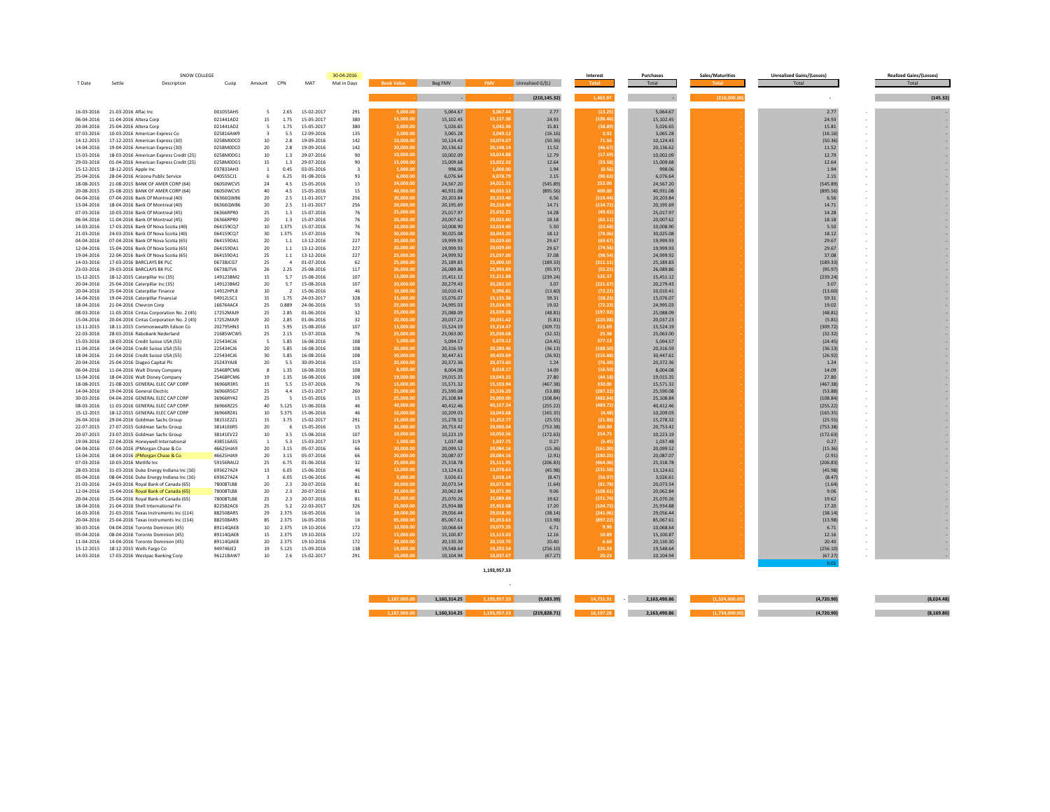| T Date                   | Settle<br>Description                                                 | Cusip                  | Amount                  | CPN                      | MAT                      | Mat in Days        | <b>Book Value</b>      | Beg FMV                | <b>FMV</b>           | Unrealized G/(L)     |                 | Total                  |              | Total                | Total    |
|--------------------------|-----------------------------------------------------------------------|------------------------|-------------------------|--------------------------|--------------------------|--------------------|------------------------|------------------------|----------------------|----------------------|-----------------|------------------------|--------------|----------------------|----------|
|                          |                                                                       |                        |                         |                          |                          |                    |                        |                        |                      |                      |                 |                        |              |                      |          |
|                          |                                                                       |                        |                         |                          |                          |                    |                        |                        |                      |                      |                 |                        |              |                      |          |
|                          |                                                                       |                        |                         |                          |                          |                    |                        | $\sim$                 |                      | (210, 145.32)        | 1,465.97        |                        | (210,000.00) | ×.                   | (145.32) |
|                          |                                                                       |                        |                         |                          |                          |                    |                        |                        |                      |                      |                 |                        |              |                      |          |
| 16-03-2016               | 21-03-2016 Aflac Inc                                                  | 001055AH5              | 5                       | 2.65                     | 15-02-2017               | 291                | 5.000.0                | 5,064.67               | 5.067.4              | 2.77                 | (13.2)          | 5,064.67               |              | 2.77                 |          |
| 06-04-2016               | 11-04-2016 Altera Corp.                                               | 021441AD2              | 15                      | 1.75                     | 15-05-2017               | 380                | 15.000.0               | 15.102.45              | 15.127.3             | 24.93                | (106.4)         | 15.102.45              |              | 24.93                |          |
| 20-04-2016               | 25-04-2016 Altera Corp                                                | 021441AD2              | -5                      | 1.75                     | 15-05-2017               | 380                | 5,000.00               | 5,026.65               | 5,042.4              | 15.81                | (38.89)         | 5,026.65               |              | 15.81                |          |
| 07-03-2016               | 10-03-2016 American Express Co                                        | 025816AW9              | $\overline{\mathbf{3}}$ | 5.5                      | 12-09-2016               | 135                | 3,000.00               | 3,065.28               | 3,049.12             | (16.16)              | 0.92            | 3,065.28               |              | (16.16)              |          |
| 14-12-2015               | 17-12-2015 American Express (30)                                      | 0258M0DC0              | 10 <sup>10</sup>        | 28                       | 19-09-2016               | 142                | 10.000.00              | 10.124.43              | 10.074.0             | (50.36)              | 71.5            | 10,124.43              |              | (50.36)              |          |
| 14-04-2016               | 19-04-2016 American Express (30)                                      | 0258M0DC0              | 20                      | 2.8                      | 19-09-2016               | 142                | 20,000.0               | 20,136.62              | 20,148.1             | 11.52                | (46.6)          | 20,136.62              |              | 11.52                |          |
| 15-03-2016               | 18-03-2016 American Express Credit (25)                               | 0258M0DG1              | 10                      | 1.3                      | 29-07-2016               | 90                 | 10,000.0               | 10.002.09              | 10,014.8             | 12.79                | (17.6)          | 10.002.09              |              | 12.79                |          |
| 29-03-2016               | 01-04-2016 American Express Credit (25)                               | 0258M0DG1              | 15                      | 1.3                      | 29-07-2016               | 90<br>$\mathbf{R}$ | 15,000.00              | 15,009.68              | 15,022.3             | 12.64                | (33.5)          | 15,009.68              |              | 12.64                |          |
| 15-12-2015<br>25-04-2016 | 18-12-2015 Apple Inc                                                  | 037833AH3<br>040555C11 | $\overline{1}$<br>-6    | 0.45<br>6.25             | 03-05-2016<br>01-08-2016 | 93                 | 1,000.00<br>6.000.00   | 998.06<br>6.076.64     | 1,000.0<br>6.078.7   | 1.94<br>2.15         | (0.5)<br>(90.6) | 998.06<br>6.076.64     |              | 1.94                 |          |
|                          | 28-04-2016 Arizona Public Service                                     | 06050WCV5              | 24                      | 4.5                      | 15-05-2016               |                    | 24.000.0               | 24,567.20              | 24.021.3             |                      | 252.0           |                        |              | 2.15                 |          |
| 18-08-2015               | 21-08-2015 BANK OF AMER CORP (64)                                     |                        | 40                      |                          |                          | 15                 | 40,000.0               |                        | 40,035.5             | (545.89)             | 400.0           | 24,567.20              |              | (545.89)             |          |
| 20-08-2015<br>04-04-2016 | 25-08-2015 BANK OF AMER CORP (64)<br>07-04-2016 Bank Of Montreal (40) | 06050WCV5<br>06366QW86 | 20                      | 4.5<br>2.5               | 15-05-2016<br>11-01-2017 | 15<br>256          | 20,000.00              | 40,931.08<br>20,203.84 | 20.210.4             | (895.56)<br>6.56     | (119.4)         | 40,931.08<br>20,203.84 |              | (895.56)<br>6.56     |          |
| 13-04-2016               | 18-04-2016 Bank Of Montreal (40)                                      | 06366QW86              | 20                      | 2.5                      | 11-01-2017               | 256                | 20,000.00              | 20,195.69              | 20,210.4             | 14.71                | (134.7)         | 20,195.69              |              | 14.71                |          |
| 07-03-2016               | 10-03-2016 Bank Of Montreal (45)                                      | 06366RPR0              | 25                      | 13                       | 15-07-2016               | 76                 | 25,000.00              | 25.017.97              | 25.032.2             | 14.28                | (49.6)          | 25.017.97              |              | 14.28                |          |
| 06-04-2016               | 11-04-2016 Bank Of Montreal (45)                                      | 06366RPRO              | 20                      | 1.3                      | 15-07-2016               | 76                 | 20,000.0               | 20,007.62              | 20.025.8             | 18.18                | (62.1)          | 20,007.62              |              | 18.18                |          |
| 14-03-2016               | 17-03-2016 Bank Of Nova Scotia (40)                                   | 064159CQ7              | 10                      | 1.375                    | 15-07-2016               | 76                 | 10,000.0               | 10,008.90              | 10,014.4             | 5.50                 | 123.6           | 10,008.90              |              | 5.50                 |          |
| 21-03-2016               | 24-03-2016 Bank Of Nova Scotia (40)                                   | 064159CQ7              | 30 <sub>o</sub>         | 1.375                    | 15-07-2016               | 76                 | 30,000.00              | 30,025.08              | 30,043.2             | 18.12                | (79.0           | 30,025.08              |              | 18.12                |          |
| 04-04-2016               | 07-04-2016 Bank Of Nova Scotia (65)                                   | 064159DA1              | 20                      | 1.1                      | 13-12-2016               | 227                | 20,000.00              | 19,999.93              | 20,029.6             | 29.67                | (69.6)          | 19,999.93              |              | 29.67                |          |
| 12-04-2016               | 15-04-2016 Bank Of Nova Scotia (65)                                   | 064159DA1              | 20                      | 1.1                      | 13-12-2016               | 227                | 20,000.00              | 19,999.93              | 20.029.6             | 29.67                | (74.5)          | 19,999.93              |              | 29.67                |          |
| 19-04-2016               | 22-04-2016 Bank Of Nova Scotia (65)                                   | 064159DA1              | 25                      | $1.1\,$                  | 13-12-2016               | 227                | 25,000.00              | 24,999.92              | 25.037.0             | 37.08                | (98.5)          | 24,999.92              |              | 37.08                |          |
| 14-03-2016               | 17-03-2016 BARCLAYS BK PLC                                            | 067381067              | 25                      |                          | 01-07-2016               | 62                 | 25,000.0               | 25,189.83              | 25,000.5             | (189.33)             | (211.1)         | 25,189.83              |              | (189.33)             |          |
| 23-03-2016               | 29-03-2016 BARCLAYS BK PLC                                            | 067381TV6              | 26                      | 2.25                     | 25-08-2016               | 117                | 26,000.00              | 26,089.86              | 25,993.8             | (95.97)              | (55.2)          | 26,089.86              |              | (95.97)              |          |
| 15-12-2015               | 18-12-2015 Caterpillar Inc (35)                                       | 149123BM2              | 15                      | 5.7                      | 15-08-2016               | 107                | 15,000.00              | 15,451.12              | 15.211.8             | (239.24)             | 135.37          | 15,451.12              |              | (239.24)             |          |
| 20-04-2016               | 25-04-2016 Caterpillar Inc (35)                                       | 149123BM2              | 20                      | 5.7                      | 15-08-2016               | 107                | 20,000.00              | 20,279.43              | 20,282.5             | 3.07                 | (221.6)         | 20,279.43              |              | 3.07                 |          |
| 20-04-2016               | 25-04-2016 Caterpillar Finance                                        | 14912HPL8              | 10                      | $\overline{\phantom{a}}$ | 15-06-2016               | 46                 | 10,000.00              | 10,010.41              | 9.996.8              | (13.60)              | (72.2)          | 10,010.41              |              | (13.60)              |          |
| 14-04-2016               | 19-04-2016 Caterpillar Financial                                      | 04912L5C1              | 15                      | 1.75                     | 24-03-2017               | 328                | 15,000.0               | 15,076.07              | 15,135.3             | 59.31                | (18.2)          | 15,076.07              |              | 59.31                |          |
| 18-04-2016               | 21-04-2016 Chevron Corp                                               | 166764AC4              | 25                      | 0.889                    | 24-06-2016               | 55                 | 25,000.00              | 24.995.03              | 25,014.0             | 19.02                | (72.2)          | 24,995.03              |              | 19.02                |          |
| 08-03-2016               | 11-03-2016 Cintas Corporation No. 2 (45)                              | 17252MAJ9              | 25                      | 2.85                     | 01-06-2016               | 32                 | 25,000.00              | 25,088.09              | 25,039.2             | (48.81)              | (197.9)         | 25,088.09              |              | (48.81)              |          |
| 15-04-2016               | 20-04-2016 Cintas Corporation No. 2 (45)                              | 17252MAJ9              | 20                      | 2.85                     | 01-06-2016               | 32                 | 20,000.00              | 20,037.23              | 20,031.4             | (5.81)               | (220.0)         | 20,037.23              |              | (5.81)               |          |
| 13-11-2015               | 18-11-2015 Commonwealth Edison Co                                     | 202795HN3              | 15                      | 5.95                     | 15-08-2016               | 107                | 15,000.00              | 15,524.19              | 15,214.4             | (309.72)             | 215.6           | 15,524.19              |              | (309.72)             |          |
| 22-03-2016               | 28-03-2016 Rabobank Nederland                                         | 21685WCW5              | 25                      | 2.15                     | 15-07-2016               | 76                 | 25,000.0               | 25,063.00              | 25,030.6             | (32.32)              | 25.3            | 25,063.00              |              | (32.32)              |          |
| 15-03-2016               | 18-03-2016 Credit Suisse USA (55)                                     | 225434CJ6              | 5                       | 5.85                     | 16-08-2016               | 108                | 5.000.00               | 5.094.57               | 5.070.1              | (24.45)              | 377.13          | 5.094.57               |              | (24.45)              |          |
| 11-04-2016               | 14-04-2016 Credit Suisse USA (55)                                     | 225434CJ6              | 20                      | 5.85                     | 16-08-2016               | 108                | 20,000.00              | 20,316.59              | 20,280.4             | (36.13)              | (188.5          | 20,316.59              |              | (36.13)              |          |
| 18-04-2016               | 21-04-2016 Credit Suisse USA (55)                                     | 225434CJ6              | 30                      | 5.85                     | 16-08-2016               | 108                | 30,000.00              | 30,447.61              | 30.420.6             | (26.92)              | (316.8)         | 30,447.61              |              | (26.92)              |          |
| 20-04-2016               | 25-04-2016 Diageo Capital Plc                                         | 25243YA18              | 20                      | 5.5                      | 30-09-2016               | 153                | 20,000.00              | 20,372.36              | 20.373.6             | 1.24                 | (76.39)         | 20,372.36              |              | 1.24                 |          |
| 06-04-2016               | 11-04-2016 Walt Disney Company                                        | 25468PCM6              | 8                       | 1.35                     | 16-08-2016               | 108                | 8,000.0                | 8,004.08               | 8,018.1              | 14.09                | (16.5)          | 8,004.08               |              | 14.09                |          |
| 13-04-2016               | 18-04-2016 Walt Disney Company                                        | 25468PCM6              | 19                      | 1.35                     | 16-08-2016               | 108                | 19,000.0               | 19,015.35              | 19,043.1             | 27.80                | (44.1)          | 19,015.35              |              | 27.80                |          |
| 18-08-2015               | 21-08-2015 GENERAL ELEC CAP CORE                                      | 36966R3R5              | 15                      | 5.5                      | 15-07-2016               | 76                 | 15,000.00              | 15,571.32              | 15,103.9             | (467.38)             | 330.0           | 15,571.32              |              | (467.38)             |          |
| 14-04-2016               | 19-04-2016 General Electric                                           | 3696685G7              | 25                      | 44                       | 15-01-2017               | 260                | 25,000.00              | 25,590.08              | 25,536.2             | (53.88)              | 1287.2          | 25,590.08              |              | (53.88)              |          |
| 30-03-2016               | 04-04-2016 GENERAL ELEC CAP CORP                                      | 36966RY42              | 25                      | -5                       | 15-05-2016               | 15                 | 25,000.00<br>40.000.00 | 25,108.84              | 25.000.0             | (108.84)             | (482.6          | 25,108.84              |              | (108.84)             |          |
| 08-03-2016               | 11-03-2016 GENERAL ELEC CAP CORP                                      | 36966RZ25              | 40                      | 5.125                    | 15-06-2016               | 46<br>46           |                        | 40,412.46              | 40,157.2             | (255.22)             | (489.72)        | 40,412.46              |              | (255.22)             |          |
| 15-12-2015               | 18-12-2015 GENERAL ELEC CAP CORP                                      | 36966RZ41<br>38151E2Z1 | 10<br>15                | 5.375<br>3.75            | 15-06-2016<br>15-02-2017 |                    | 10,000.0               | 10,209.03              | 10,043.6             | (165.35)             | (4.4)           | 10,209.03              |              | (165.35)             |          |
| 26-04-2016               | 29-04-2016 Goldman Sachs Group                                        |                        |                         |                          |                          | 291                | 15,000.00<br>20,000.00 | 15,278.32              | 15,252.7<br>20,000.0 | (25.55)              | (21.88)         | 15,278.32              |              | (25.55)              |          |
| 22-07-2015<br>20-07-2015 | 27-07-2015 Goldman Sachs Group<br>23-07-2015 Goldman Sachs Group      | 38141E6R5<br>38141EV22 | 20<br>10                | 3.5                      | 15-05-2016<br>15-08-2016 | 15<br>107          | 10,000.00              | 20,753.42<br>10.223.19 | 10.050.5             | (753.38)<br>(172.63) | 360.0<br>254.7  | 20,753.42<br>10.223.19 |              | (753.38)<br>(172.63) |          |
| 19-04-2016               | 22-04-2016 Honeywell International                                    | 438516AS5              | $\mathbf{1}$            | 5.3                      | 15-03-2017               | 319                | 1.000.0                | 1,037.48               | 1,037.7              | 0.27                 | 15.4            | 1,037.48               |              | 0.27                 |          |
| 04-04-2016               | 07-04-2016 JPMorgan Chase & Co                                        | 46625HJA9              | 20                      | 3.15                     | 05-07-2016               | 66                 | 20,000.0               | 20,099.52              | 20,084.1             | (15.36)              | (161.0          | 20,099.52              |              | (15.36)              |          |
| 13-04-2016               | 18-04-2016 JPMorgan Chase & Co                                        | 46625HJA9              | 20 <sub>0</sub>         | 3.15                     | 05-07-2016               | 66                 | 20,000.00              | 20,087.07              | 20,084.1             | (2.91)               | (180.2)         | 20,087.07              |              | (2.91)               |          |
| 07-03-2016               | 10-03-2016 Metlife Inc.                                               | 59156RAU2              | 25                      | 6.75                     | 01-06-2016               | 32                 | 25,000.00              | 25,318.78              | 25,111.9             | (206.83)             | (464.0          | 25, 318, 78            |              | (206.83)             |          |
| 28-03-2016               | 31-03-2016 Duke Energy Indiana Inc (16)                               | 693627AZ4              | 13                      | 6.05                     | 15-06-2016               | 46                 | 13,000.00              | 13.124.61              | 13.078.6             | (45.98)              | (231.5)         | 13.124.61              |              | (45.98)              |          |
| 05-04-2016               | 08-04-2016 Duke Energy Indiana Inc (16)                               | 693627AZ4              | $\overline{\mathbf{3}}$ | 6.05                     | 15-06-2016               | 46                 | 3.000.00               | 3,026.61               | 3.018.1              | (8.47)               | (56.9)          | 3,026.61               |              | (8.47)               |          |
| 21-03-2016               | 24-03-2016 Royal Bank of Canada (65)                                  | <b>78008TLB8</b>       | 20                      | 23                       | 20-07-2016               | 81                 | 20.000.0               | 20,073.54              | 20,071.9             | (1.64)               | (81.7)          | 20,073.54              |              | (1.64)               |          |
| 12-04-2016               | 15-04-2016 Royal Bank of Canada (65)                                  | 78008TLB8              | 20                      | 23                       | 20-07-2016               | 81                 | 20,000.00              | 20.062.84              | 20.071.9             | 9.06                 | (108.6)         | 20.062.84              |              | 9.06                 |          |
| 20-04-2016               | 25-04-2016 Royal Bank of Canada (65)                                  | 78008TLB8              | 25                      | 2.3                      | 20-07-2016               | 81                 | 25,000.00              | 25,070.26              | 25,089.8             | 19.62                | (151.7)         | 25,070.26              |              | 19.62                |          |
| 18-04-2016               | 21-04-2016 Shell International Fin                                    | 822582AC6              | 25                      | 5.2                      | 22-03-2017               | 326                | 25,000.00              | 25,934.88              | 25,952.0             | 17.20                | (104.7)         | 25,934.88              |              | 17.20                |          |
| 16-03-2016               | 21-03-2016 Texas Instruments Inc (114)                                | 882508AR5              | 29                      | 2.375                    | 16-05-2016               | 16                 | 29,000.00              | 29,056.44              | 29,018.3             | (38.14)              | (241.0)         | 29,056.44              |              | (38.14)              |          |
| 20-04-2016               | 25-04-2016 Texas Instruments Inc (114)                                | 882508AR5              | 85                      | 2.375                    | 16-05-2016               | 16                 | 85,000.0               | 85,067.61              | 85,053.6             | (13.98)              | (897.2          | 85,067.61              |              | (13.98)              |          |
| 30-03-2016               | 04-04-2016 Toronto Dominion (45)                                      | 89114OAF8              | 10                      | 2.375                    | 19-10-2016               | 172                | 10,000.0               | 10.068.64              | 10,075.3             | 6.71                 |                 | 10.068.64              |              | 6.71                 |          |
| 05-04-2016               | 08-04-2016 Toronto Dominion (45)                                      | 89114QAE8              | 15                      | 2.375                    | 19-10-2016               | 172                | 15,000.00              | 15,100.87              | 15,113.0             | 12.16                | 10.89           | 15,100.87              |              | 12.16                |          |
| 11-04-2016               | 14-04-2016 Toronto Dominion (45)                                      | 89114QAE8              | 20                      | 2.375                    | 19-10-2016               | 172                | 20,000.0               | 20,130.30              | 20,150.7             | 20.40                |                 | 20,130.30              |              | 20.40                |          |
| 15-12-2015               | 18-12-2015 Wells Fargo Co                                             | 949746JE2              | 19                      | 5.125                    | 15-09-2016               | 138                | 19,000.00              | 19,548.64              | 19,292.5             | (256.10)             | 235.33          | 19,548.64              |              | (256.10)             |          |
| 14-03-2016               | 17-03-2016 Westpac Banking Corp                                       | 96121BAW7              | 10                      | 2.6                      | 15-02-2017               | 291                | 10,000.0               | 10.104.94              | 10.037.6             | (67.27)              | 20.23           | 10,104.94              |              | (67.27)              |          |

**1,193,957.33 ‐** 

| 187.000.00 | 160.314.25 | ב.כסס.פו | 4.731 |  | (8.024.4)  |
|------------|------------|----------|-------|--|------------|
| 187.000.00 | 1314.25    |          |       |  | (8.169.80) |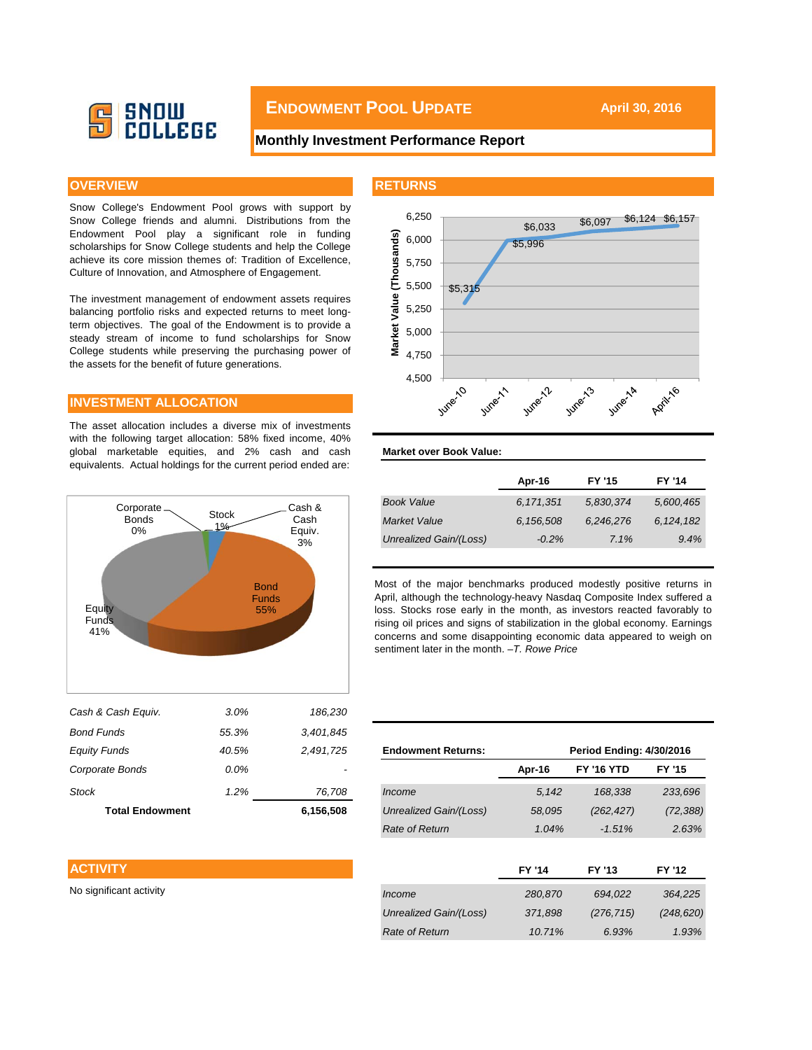

# **ENDOWMENT POOL UPDATE April 30, 2016**

### **Monthly Investment Performance Report**

Snow College's Endowment Pool grows with support by Snow College friends and alumni. Distributions from the Endowment Pool play a significant role in funding scholarships for Snow College students and help the College achieve its core mission themes of: Tradition of Excellence, Culture of Innovation, and Atmosphere of Engagement.

The investment management of endowment assets requires balancing portfolio risks and expected returns to meet longterm objectives. The goal of the Endowment is to provide a steady stream of income to fund scholarships for Snow College students while preserving the purchasing power of the assets for the benefit of future generations.

#### **INVESTMENT ALLOCATION**

The asset allocation includes a diverse mix of investments with the following target allocation: 58% fixed income, 40% global marketable equities, and 2% cash and cash equivalents. Actual holdings for the current period ended are:



April, although the technology-heavy Nasdaq Composite Index suffered a loss. Stocks rose early in the month, as investors reacted favorably to rising oil prices and signs of stabilization in the global economy. Earnings concerns and some disappointing economic data appeared to weigh on sentiment later in the month. *–T. Rowe Price*

| Bond Funds              | 55.3%   | 3,401,845 |                           |               |                                 |               |
|-------------------------|---------|-----------|---------------------------|---------------|---------------------------------|---------------|
| <b>Equity Funds</b>     | 40.5%   | 2,491,725 | <b>Endowment Returns:</b> |               | <b>Period Ending: 4/30/2016</b> |               |
| Corporate Bonds         | $0.0\%$ |           |                           | Apr-16        | <b>FY '16 YTD</b>               | <b>FY '15</b> |
| <b>Stock</b>            | 1.2%    | 76,708    | Income                    | 5,142         | 168,338                         | 233,696       |
| <b>Total Endowment</b>  |         | 6,156,508 | Unrealized Gain/(Loss)    | 58,095        | (262, 427)                      | (72, 388)     |
|                         |         |           | Rate of Return            | 1.04%         | $-1.51%$                        | 2.63%         |
| <b>ACTIVITY</b>         |         |           |                           | <b>FY '14</b> | FY '13                          | FY '12        |
| No significant activity |         |           | Income                    | 280,870       | 694,022                         | 364,225       |
|                         |         |           | Unrealized Gain/(Loss)    | 371,898       | (276, 715)                      | (248, 620)    |
|                         |         |           | Rate of Return            | 10.71%        | 6.93%                           | 1.93%         |
|                         |         |           |                           |               |                                 |               |

#### **ACTIVITY**

#### **OVERVIEW AND INSTITUTE IN THE RETURNS**



### **Market over Book Value:**

|                        | Apr-16    | <b>FY '15</b> | <b>FY '14</b> |
|------------------------|-----------|---------------|---------------|
| <b>Book Value</b>      | 6,171,351 | 5,830,374     | 5,600,465     |
| <b>Market Value</b>    | 6,156,508 | 6,246,276     | 6, 124, 182   |
| Unrealized Gain/(Loss) | $-0.2\%$  | 7.1%          | 9.4%          |
|                        |           |               |               |

Most of the major benchmarks produced modestly positive returns in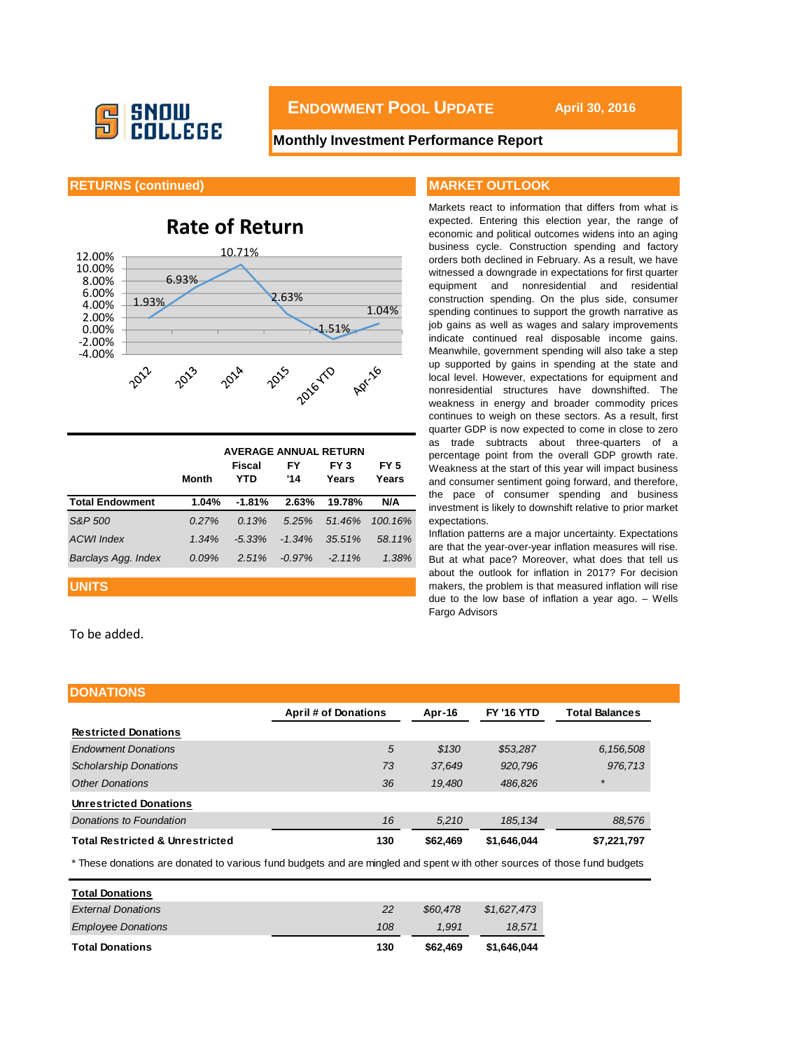

**ENDOWMENT POOL UPDATE** April 30, 2016

### **Monthly Investment Performance Report**

#### **RETURNS (continued) MARKET OUTLOOK**

# **Rate of Return**



|                        | <b>AVERAGE ANNUAL RETURN</b> |               |           |               |               |  |  |  |
|------------------------|------------------------------|---------------|-----------|---------------|---------------|--|--|--|
|                        | <b>Month</b>                 | Fiscal<br>YTD | FY<br>'14 | FY 3<br>Years | FY 5<br>Years |  |  |  |
| <b>Total Endowment</b> | 1.04%                        | $-1.81%$      | 2.63%     | 19.78%        | N/A           |  |  |  |
| S&P 500                | $0.27\%$                     | 0.13%         | 5.25%     | 51.46%        | 100.16%       |  |  |  |
| <b>ACWI</b> Index      | 1.34%                        | $-5.33\%$     | $-1.34%$  | 35.51%        | 58.11%        |  |  |  |
| Barclays Agg. Index    | $0.09\%$                     | 2.51%         | $-0.97%$  | $-2.11\%$     | 1.38%         |  |  |  |

#### **UNITS**

To be added.

Markets react to information that differs from what is expected. Entering this election year, the range of economic and political outcomes widens into an aging business cycle. Construction spending and factory orders both declined in February. As a result, we have witnessed a downgrade in expectations for first quarter equipment and nonresidential and residential construction spending. On the plus side, consumer spending continues to support the growth narrative as job gains as well as wages and salary improvements indicate continued real disposable income gains. Meanwhile, government spending will also take a step up supported by gains in spending at the state and local level. However, expectations for equipment and nonresidential structures have downshifted. The weakness in energy and broader commodity prices continues to weigh on these sectors. As a result, first quarter GDP is now expected to come in close to zero as trade subtracts about three-quarters of a percentage point from the overall GDP growth rate. Weakness at the start of this year will impact business and consumer sentiment going forward, and therefore, the pace of consumer spending and business investment is likely to downshift relative to prior market expectations.

Inflation patterns are a major uncertainty. Expectations are that the year-over-year inflation measures will rise. But at what pace? Moreover, what does that tell us about the outlook for inflation in 2017? For decision makers, the problem is that measured inflation will rise due to the low base of inflation a year ago. – Wells Fargo Advisors

| <b>DONATIONS</b>                           |                             |          |                   |                       |
|--------------------------------------------|-----------------------------|----------|-------------------|-----------------------|
|                                            | <b>April # of Donations</b> | Apr-16   | <b>FY '16 YTD</b> | <b>Total Balances</b> |
| <b>Restricted Donations</b>                |                             |          |                   |                       |
| <b>Endowment Donations</b>                 | 5                           | \$130    | \$53,287          | 6,156,508             |
| <b>Scholarship Donations</b>               | 73                          | 37,649   | 920,796           | 976,713               |
| <b>Other Donations</b>                     | 36                          | 19.480   | 486,826           | $\star$               |
| <b>Unrestricted Donations</b>              |                             |          |                   |                       |
| Donations to Foundation                    | 16                          | 5.210    | 185, 134          | 88,576                |
| <b>Total Restricted &amp; Unrestricted</b> | 130                         | \$62,469 | \$1,646,044       | \$7,221,797           |

\* These donations are donated to various fund budgets and are mingled and spent w ith other sources of those fund budgets

| <b>Total Donations</b>    |     |          |             |
|---------------------------|-----|----------|-------------|
| <b>External Donations</b> | 22  | \$60.478 | \$1,627,473 |
| <b>Employee Donations</b> | 108 | 1.991    | 18.571      |
| <b>Total Donations</b>    | 130 | \$62,469 | \$1.646.044 |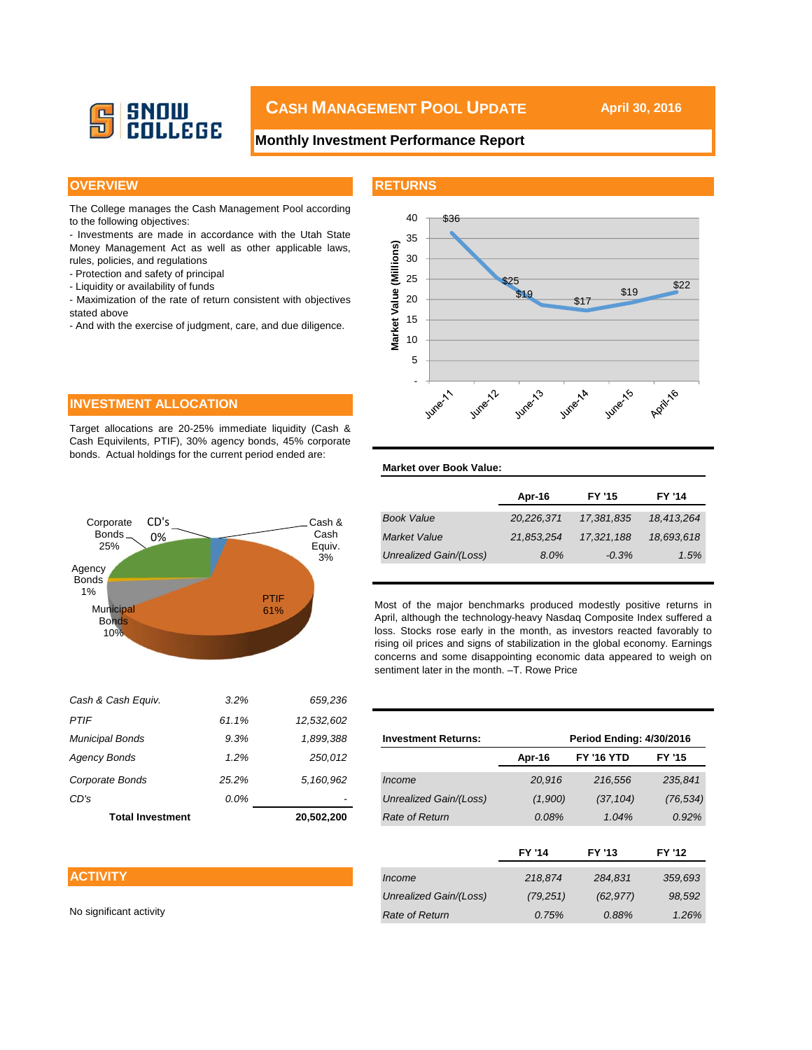

# **CASH MANAGEMENT POOL UPDATE** April 30, 2016

### **Monthly Investment Performance Report**

#### **OVERVIEW AND INSTITUTE IN THE RETURNS**

**Market over Book Value:**

The College manages the Cash Management Pool according to the following objectives:

- Investments are made in accordance with the Utah State Money Management Act as well as other applicable laws, rules, policies, and regulations

- Protection and safety of principal
- Liquidity or availability of funds
- Maximization of the rate of return consistent with objectives stated above
- And with the exercise of judgment, care, and due diligence.



#### **INVESTMENT ALLOCATION**

Target allocations are 20-25% immediate liquidity (Cash & Cash Equivilents, PTIF), 30% agency bonds, 45% corporate bonds. Actual holdings for the current period ended are:



| Apr-16     | <b>FY '15</b> | <b>FY '14</b> |
|------------|---------------|---------------|
| 20,226,371 | 17,381,835    | 18,413,264    |
| 21,853,254 | 17,321,188    | 18,693,618    |
| $8.0\%$    | $-0.3%$       | 1.5%          |
|            |               |               |

Most of the major benchmarks produced modestly positive returns in April, although the technology-heavy Nasdaq Composite Index suffered a loss. Stocks rose early in the month, as investors reacted favorably to rising oil prices and signs of stabilization in the global economy. Earnings concerns and some disappointing economic data appeared to weigh on sentiment later in the month. –T. Rowe Price

| PIIF                                  | 61.1%   | 12,532,602 |                            |               |                                 |               |
|---------------------------------------|---------|------------|----------------------------|---------------|---------------------------------|---------------|
| Municipal Bonds                       | 9.3%    | 1,899,388  | <b>Investment Returns:</b> |               | <b>Period Ending: 4/30/2016</b> |               |
| Agency Bonds                          | 1.2%    | 250,012    |                            | Apr-16        | <b>FY '16 YTD</b>               | FY '15        |
| Corporate Bonds                       | 25.2%   | 5,160,962  | Income                     | 20,916        | 216,556                         | 235,841       |
| CD's                                  | $0.0\%$ | ٠          | Unrealized Gain/(Loss)     | (1,900)       | (37, 104)                       | (76, 534)     |
| 20,502,200<br><b>Total Investment</b> |         |            | Rate of Return             | 0.08%         | 1.04%                           | 0.92%         |
|                                       |         |            |                            |               |                                 |               |
|                                       |         |            |                            | <b>FY '14</b> | FY '13                          | <b>FY '12</b> |
| <b>ACTIVITY</b>                       |         |            | Income                     | 218,874       | 284,831                         | 359,693       |
|                                       |         |            | Unrealized Gain/(Loss)     | (79, 251)     | (62, 977)                       | 98,592        |
| No significant activity               |         |            | Rate of Return             | 0.75%         | 0.88%                           | 1.26%         |
|                                       |         |            |                            |               |                                 |               |

### **ACTIVITY**